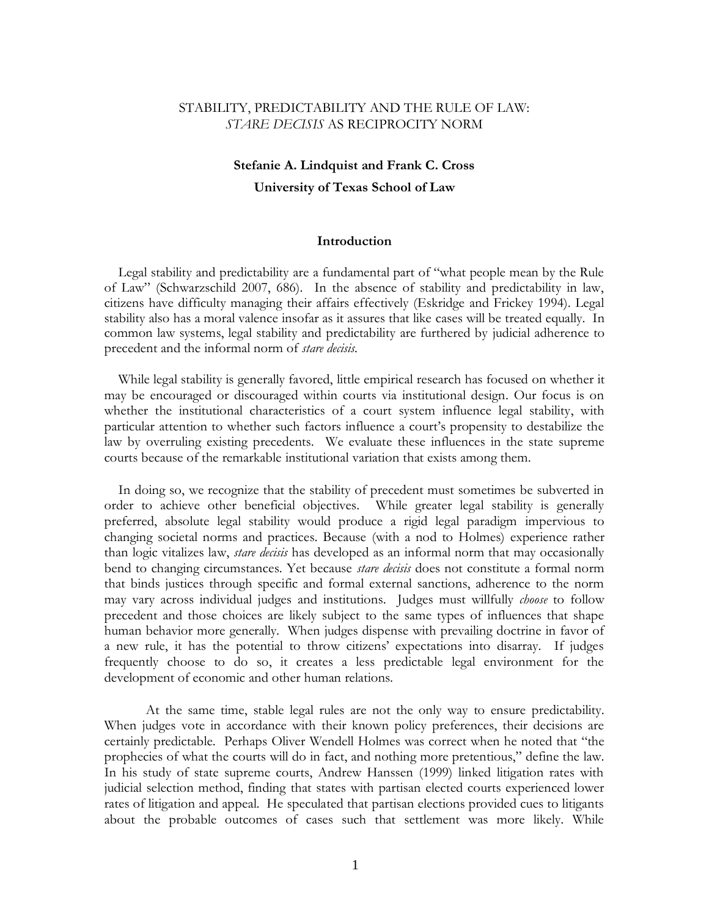## STABILITY, PREDICTABILITY AND THE RULE OF LAW: *STARE DECISIS* AS RECIPROCITY NORM

# **Stefanie A. Lindquist and Frank C. Cross University of Texas School of Law**

## **Introduction**

Legal stability and predictability are a fundamental part of "what people mean by the Rule of Law" (Schwarzschild 2007, 686). In the absence of stability and predictability in law, citizens have difficulty managing their affairs effectively (Eskridge and Frickey 1994). Legal stability also has a moral valence insofar as it assures that like cases will be treated equally. In common law systems, legal stability and predictability are furthered by judicial adherence to precedent and the informal norm of *stare decisis.*

While legal stability is generally favored, little empirical research has focused on whether it may be encouraged or discouraged within courts via institutional design. Our focus is on whether the institutional characteristics of a court system influence legal stability, with particular attention to whether such factors influence a court's propensity to destabilize the law by overruling existing precedents. We evaluate these influences in the state supreme courts because of the remarkable institutional variation that exists among them.

In doing so, we recognize that the stability of precedent must sometimes be subverted in order to achieve other beneficial objectives. While greater legal stability is generally preferred, absolute legal stability would produce a rigid legal paradigm impervious to changing societal norms and practices. Because (with a nod to Holmes) experience rather than logic vitalizes law, *stare decisis* has developed as an informal norm that may occasionally bend to changing circumstances. Yet because *stare decisis* does not constitute a formal norm that binds justices through specific and formal external sanctions, adherence to the norm may vary across individual judges and institutions. Judges must willfully *choose* to follow precedent and those choices are likely subject to the same types of influences that shape human behavior more generally. When judges dispense with prevailing doctrine in favor of a new rule, it has the potential to throw citizens" expectations into disarray. If judges frequently choose to do so, it creates a less predictable legal environment for the development of economic and other human relations.

At the same time, stable legal rules are not the only way to ensure predictability. When judges vote in accordance with their known policy preferences, their decisions are certainly predictable. Perhaps Oliver Wendell Holmes was correct when he noted that "the prophecies of what the courts will do in fact, and nothing more pretentious," define the law. In his study of state supreme courts, Andrew Hanssen (1999) linked litigation rates with judicial selection method, finding that states with partisan elected courts experienced lower rates of litigation and appeal. He speculated that partisan elections provided cues to litigants about the probable outcomes of cases such that settlement was more likely. While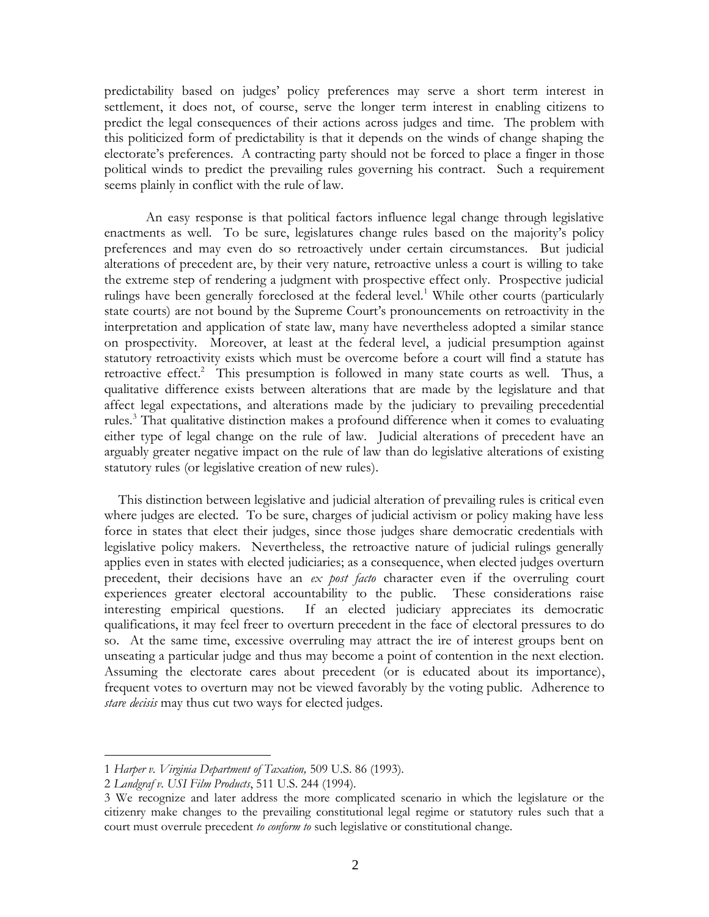predictability based on judges" policy preferences may serve a short term interest in settlement, it does not, of course, serve the longer term interest in enabling citizens to predict the legal consequences of their actions across judges and time. The problem with this politicized form of predictability is that it depends on the winds of change shaping the electorate"s preferences. A contracting party should not be forced to place a finger in those political winds to predict the prevailing rules governing his contract. Such a requirement seems plainly in conflict with the rule of law.

An easy response is that political factors influence legal change through legislative enactments as well. To be sure, legislatures change rules based on the majority"s policy preferences and may even do so retroactively under certain circumstances. But judicial alterations of precedent are, by their very nature, retroactive unless a court is willing to take the extreme step of rendering a judgment with prospective effect only. Prospective judicial rulings have been generally foreclosed at the federal level.<sup>1</sup> While other courts (particularly state courts) are not bound by the Supreme Court's pronouncements on retroactivity in the interpretation and application of state law, many have nevertheless adopted a similar stance on prospectivity. Moreover, at least at the federal level, a judicial presumption against statutory retroactivity exists which must be overcome before a court will find a statute has retroactive effect.<sup>2</sup> This presumption is followed in many state courts as well. Thus, a qualitative difference exists between alterations that are made by the legislature and that affect legal expectations, and alterations made by the judiciary to prevailing precedential rules.<sup>3</sup> That qualitative distinction makes a profound difference when it comes to evaluating either type of legal change on the rule of law. Judicial alterations of precedent have an arguably greater negative impact on the rule of law than do legislative alterations of existing statutory rules (or legislative creation of new rules).

This distinction between legislative and judicial alteration of prevailing rules is critical even where judges are elected. To be sure, charges of judicial activism or policy making have less force in states that elect their judges, since those judges share democratic credentials with legislative policy makers. Nevertheless, the retroactive nature of judicial rulings generally applies even in states with elected judiciaries; as a consequence, when elected judges overturn precedent, their decisions have an *ex post facto* character even if the overruling court experiences greater electoral accountability to the public. These considerations raise interesting empirical questions. If an elected judiciary appreciates its democratic qualifications, it may feel freer to overturn precedent in the face of electoral pressures to do so. At the same time, excessive overruling may attract the ire of interest groups bent on unseating a particular judge and thus may become a point of contention in the next election. Assuming the electorate cares about precedent (or is educated about its importance), frequent votes to overturn may not be viewed favorably by the voting public. Adherence to *stare decisis* may thus cut two ways for elected judges.

<sup>1</sup> *Harper v. Virginia Department of Taxation,* 509 U.S. 86 (1993).

<sup>2</sup> *Landgraf v. USI Film Products*, 511 U.S. 244 (1994).

<sup>3</sup> We recognize and later address the more complicated scenario in which the legislature or the citizenry make changes to the prevailing constitutional legal regime or statutory rules such that a court must overrule precedent *to conform to* such legislative or constitutional change.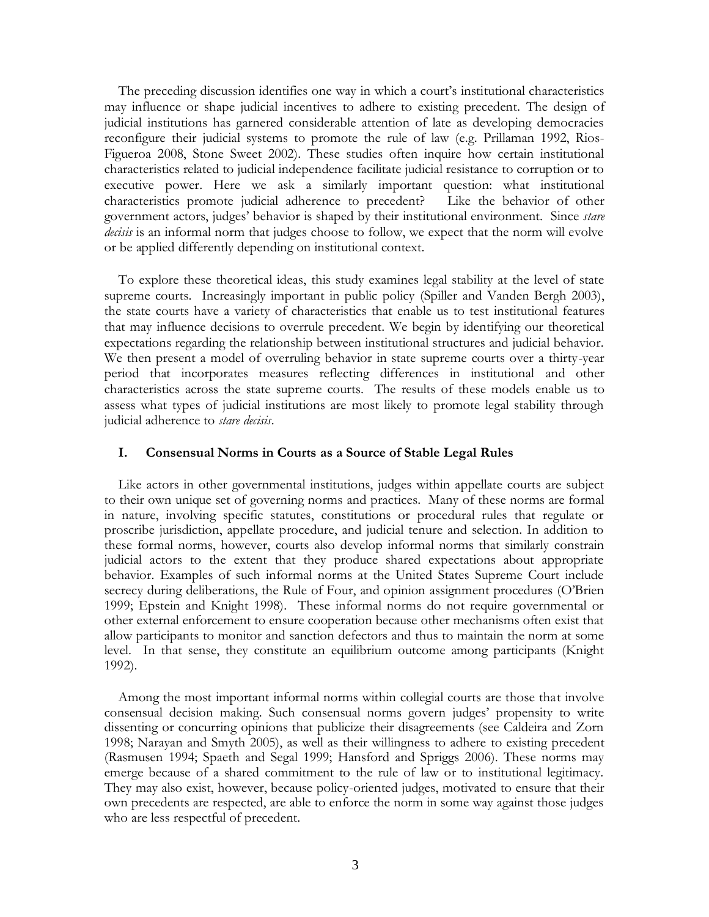The preceding discussion identifies one way in which a court's institutional characteristics may influence or shape judicial incentives to adhere to existing precedent. The design of judicial institutions has garnered considerable attention of late as developing democracies reconfigure their judicial systems to promote the rule of law (e.g. Prillaman 1992, Rios-Figueroa 2008, Stone Sweet 2002). These studies often inquire how certain institutional characteristics related to judicial independence facilitate judicial resistance to corruption or to executive power. Here we ask a similarly important question: what institutional characteristics promote judicial adherence to precedent? Like the behavior of other government actors, judges" behavior is shaped by their institutional environment. Since *stare decisis* is an informal norm that judges choose to follow, we expect that the norm will evolve or be applied differently depending on institutional context.

To explore these theoretical ideas, this study examines legal stability at the level of state supreme courts. Increasingly important in public policy (Spiller and Vanden Bergh 2003), the state courts have a variety of characteristics that enable us to test institutional features that may influence decisions to overrule precedent. We begin by identifying our theoretical expectations regarding the relationship between institutional structures and judicial behavior. We then present a model of overruling behavior in state supreme courts over a thirty-year period that incorporates measures reflecting differences in institutional and other characteristics across the state supreme courts. The results of these models enable us to assess what types of judicial institutions are most likely to promote legal stability through judicial adherence to *stare decisis*.

#### **I. Consensual Norms in Courts as a Source of Stable Legal Rules**

Like actors in other governmental institutions, judges within appellate courts are subject to their own unique set of governing norms and practices. Many of these norms are formal in nature, involving specific statutes, constitutions or procedural rules that regulate or proscribe jurisdiction, appellate procedure, and judicial tenure and selection. In addition to these formal norms, however, courts also develop informal norms that similarly constrain judicial actors to the extent that they produce shared expectations about appropriate behavior. Examples of such informal norms at the United States Supreme Court include secrecy during deliberations, the Rule of Four, and opinion assignment procedures (O"Brien 1999; Epstein and Knight 1998). These informal norms do not require governmental or other external enforcement to ensure cooperation because other mechanisms often exist that allow participants to monitor and sanction defectors and thus to maintain the norm at some level. In that sense, they constitute an equilibrium outcome among participants (Knight 1992).

Among the most important informal norms within collegial courts are those that involve consensual decision making. Such consensual norms govern judges" propensity to write dissenting or concurring opinions that publicize their disagreements (see Caldeira and Zorn 1998; Narayan and Smyth 2005), as well as their willingness to adhere to existing precedent (Rasmusen 1994; Spaeth and Segal 1999; Hansford and Spriggs 2006). These norms may emerge because of a shared commitment to the rule of law or to institutional legitimacy. They may also exist, however, because policy-oriented judges, motivated to ensure that their own precedents are respected, are able to enforce the norm in some way against those judges who are less respectful of precedent.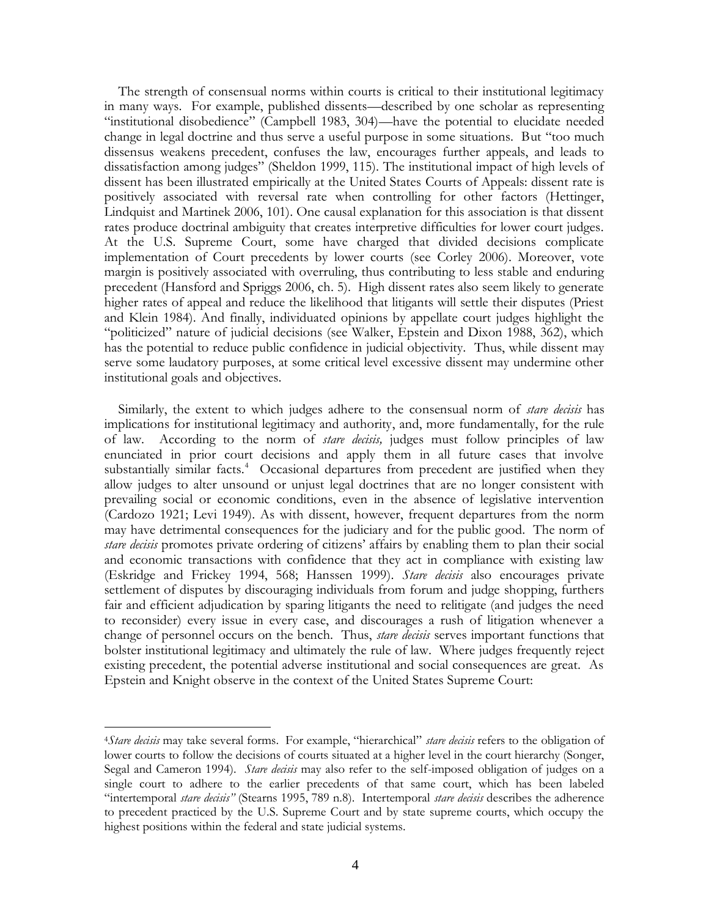The strength of consensual norms within courts is critical to their institutional legitimacy in many ways. For example, published dissents—described by one scholar as representing "institutional disobedience" (Campbell 1983, 304)—have the potential to elucidate needed change in legal doctrine and thus serve a useful purpose in some situations. But "too much dissensus weakens precedent, confuses the law, encourages further appeals, and leads to dissatisfaction among judges" (Sheldon 1999, 115). The institutional impact of high levels of dissent has been illustrated empirically at the United States Courts of Appeals: dissent rate is positively associated with reversal rate when controlling for other factors (Hettinger, Lindquist and Martinek 2006, 101). One causal explanation for this association is that dissent rates produce doctrinal ambiguity that creates interpretive difficulties for lower court judges. At the U.S. Supreme Court, some have charged that divided decisions complicate implementation of Court precedents by lower courts (see Corley 2006). Moreover, vote margin is positively associated with overruling, thus contributing to less stable and enduring precedent (Hansford and Spriggs 2006, ch. 5). High dissent rates also seem likely to generate higher rates of appeal and reduce the likelihood that litigants will settle their disputes (Priest and Klein 1984). And finally, individuated opinions by appellate court judges highlight the "politicized" nature of judicial decisions (see Walker, Epstein and Dixon 1988, 362), which has the potential to reduce public confidence in judicial objectivity. Thus, while dissent may serve some laudatory purposes, at some critical level excessive dissent may undermine other institutional goals and objectives.

Similarly, the extent to which judges adhere to the consensual norm of *stare decisis* has implications for institutional legitimacy and authority, and, more fundamentally, for the rule of law. According to the norm of *stare decisis,* judges must follow principles of law enunciated in prior court decisions and apply them in all future cases that involve substantially similar facts.<sup>4</sup> Occasional departures from precedent are justified when they allow judges to alter unsound or unjust legal doctrines that are no longer consistent with prevailing social or economic conditions, even in the absence of legislative intervention (Cardozo 1921; Levi 1949). As with dissent, however, frequent departures from the norm may have detrimental consequences for the judiciary and for the public good. The norm of *stare decisis* promotes private ordering of citizens" affairs by enabling them to plan their social and economic transactions with confidence that they act in compliance with existing law (Eskridge and Frickey 1994, 568; Hanssen 1999). *Stare decisis* also encourages private settlement of disputes by discouraging individuals from forum and judge shopping, furthers fair and efficient adjudication by sparing litigants the need to relitigate (and judges the need to reconsider) every issue in every case, and discourages a rush of litigation whenever a change of personnel occurs on the bench. Thus, *stare decisis* serves important functions that bolster institutional legitimacy and ultimately the rule of law. Where judges frequently reject existing precedent, the potential adverse institutional and social consequences are great. As Epstein and Knight observe in the context of the United States Supreme Court:

<sup>4</sup>*Stare decisis* may take several forms. For example, "hierarchical" *stare decisis* refers to the obligation of lower courts to follow the decisions of courts situated at a higher level in the court hierarchy (Songer, Segal and Cameron 1994). *Stare decisis* may also refer to the self-imposed obligation of judges on a single court to adhere to the earlier precedents of that same court, which has been labeled "intertemporal *stare decisis"* (Stearns 1995, 789 n.8). Intertemporal *stare decisis* describes the adherence to precedent practiced by the U.S. Supreme Court and by state supreme courts, which occupy the highest positions within the federal and state judicial systems.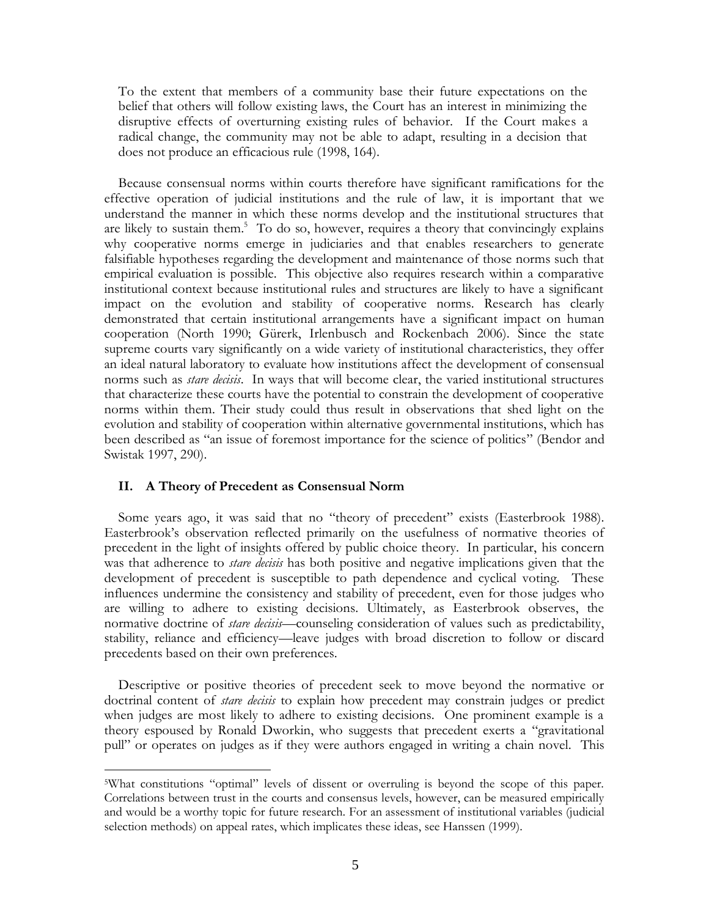To the extent that members of a community base their future expectations on the belief that others will follow existing laws, the Court has an interest in minimizing the disruptive effects of overturning existing rules of behavior. If the Court makes a radical change, the community may not be able to adapt, resulting in a decision that does not produce an efficacious rule (1998, 164).

Because consensual norms within courts therefore have significant ramifications for the effective operation of judicial institutions and the rule of law, it is important that we understand the manner in which these norms develop and the institutional structures that are likely to sustain them.<sup>5</sup> To do so, however, requires a theory that convincingly explains why cooperative norms emerge in judiciaries and that enables researchers to generate falsifiable hypotheses regarding the development and maintenance of those norms such that empirical evaluation is possible. This objective also requires research within a comparative institutional context because institutional rules and structures are likely to have a significant impact on the evolution and stability of cooperative norms. Research has clearly demonstrated that certain institutional arrangements have a significant impact on human cooperation (North 1990; Gürerk, Irlenbusch and Rockenbach 2006). Since the state supreme courts vary significantly on a wide variety of institutional characteristics, they offer an ideal natural laboratory to evaluate how institutions affect the development of consensual norms such as *stare decisis*. In ways that will become clear, the varied institutional structures that characterize these courts have the potential to constrain the development of cooperative norms within them. Their study could thus result in observations that shed light on the evolution and stability of cooperation within alternative governmental institutions, which has been described as "an issue of foremost importance for the science of politics" (Bendor and Swistak 1997, 290).

#### **II. A Theory of Precedent as Consensual Norm**

 $\overline{a}$ 

Some years ago, it was said that no "theory of precedent" exists (Easterbrook 1988). Easterbrook"s observation reflected primarily on the usefulness of normative theories of precedent in the light of insights offered by public choice theory. In particular, his concern was that adherence to *stare decisis* has both positive and negative implications given that the development of precedent is susceptible to path dependence and cyclical voting. These influences undermine the consistency and stability of precedent, even for those judges who are willing to adhere to existing decisions. Ultimately, as Easterbrook observes, the normative doctrine of *stare decisis*—counseling consideration of values such as predictability, stability, reliance and efficiency—leave judges with broad discretion to follow or discard precedents based on their own preferences.

Descriptive or positive theories of precedent seek to move beyond the normative or doctrinal content of *stare decisis* to explain how precedent may constrain judges or predict when judges are most likely to adhere to existing decisions. One prominent example is a theory espoused by Ronald Dworkin, who suggests that precedent exerts a "gravitational pull" or operates on judges as if they were authors engaged in writing a chain novel. This

<sup>5</sup>What constitutions "optimal" levels of dissent or overruling is beyond the scope of this paper. Correlations between trust in the courts and consensus levels, however, can be measured empirically and would be a worthy topic for future research. For an assessment of institutional variables (judicial selection methods) on appeal rates, which implicates these ideas, see Hanssen (1999).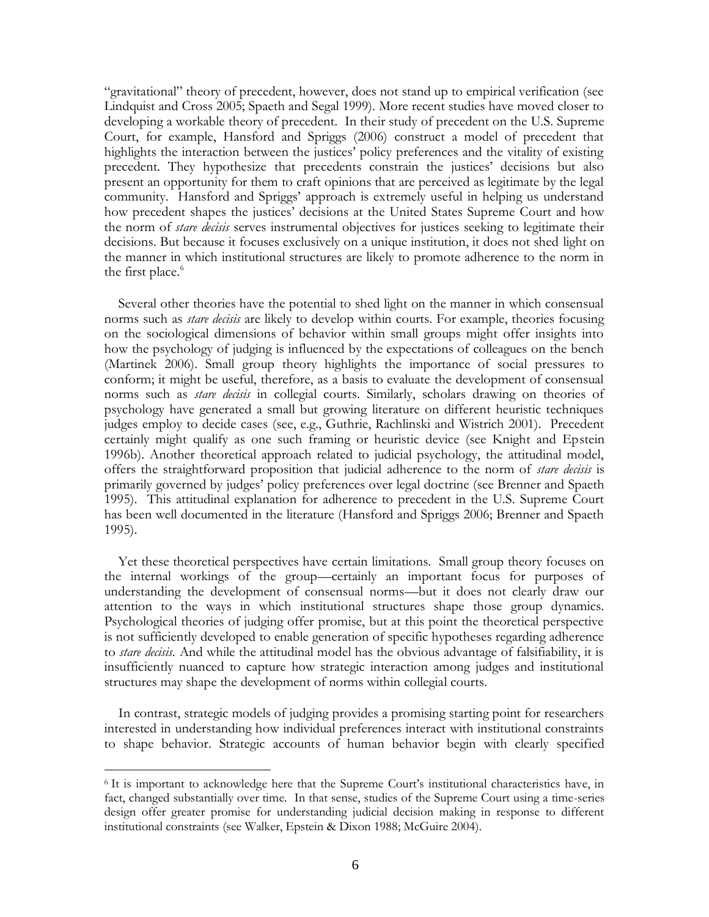"gravitational" theory of precedent, however, does not stand up to empirical verification (see Lindquist and Cross 2005; Spaeth and Segal 1999). More recent studies have moved closer to developing a workable theory of precedent. In their study of precedent on the U.S. Supreme Court, for example, Hansford and Spriggs (2006) construct a model of precedent that highlights the interaction between the justices' policy preferences and the vitality of existing precedent. They hypothesize that precedents constrain the justices" decisions but also present an opportunity for them to craft opinions that are perceived as legitimate by the legal community. Hansford and Spriggs' approach is extremely useful in helping us understand how precedent shapes the justices" decisions at the United States Supreme Court and how the norm of *stare decisis* serves instrumental objectives for justices seeking to legitimate their decisions. But because it focuses exclusively on a unique institution, it does not shed light on the manner in which institutional structures are likely to promote adherence to the norm in the first place.<sup>6</sup>

Several other theories have the potential to shed light on the manner in which consensual norms such as *stare decisis* are likely to develop within courts. For example, theories focusing on the sociological dimensions of behavior within small groups might offer insights into how the psychology of judging is influenced by the expectations of colleagues on the bench (Martinek 2006). Small group theory highlights the importance of social pressures to conform; it might be useful, therefore, as a basis to evaluate the development of consensual norms such as *stare decisis* in collegial courts. Similarly, scholars drawing on theories of psychology have generated a small but growing literature on different heuristic techniques judges employ to decide cases (see, e.g., Guthrie, Rachlinski and Wistrich 2001). Precedent certainly might qualify as one such framing or heuristic device (see Knight and Epstein 1996b). Another theoretical approach related to judicial psychology, the attitudinal model, offers the straightforward proposition that judicial adherence to the norm of *stare decisis* is primarily governed by judges" policy preferences over legal doctrine (see Brenner and Spaeth 1995). This attitudinal explanation for adherence to precedent in the U.S. Supreme Court has been well documented in the literature (Hansford and Spriggs 2006; Brenner and Spaeth 1995).

Yet these theoretical perspectives have certain limitations. Small group theory focuses on the internal workings of the group—certainly an important focus for purposes of understanding the development of consensual norms—but it does not clearly draw our attention to the ways in which institutional structures shape those group dynamics. Psychological theories of judging offer promise, but at this point the theoretical perspective is not sufficiently developed to enable generation of specific hypotheses regarding adherence to *stare decisis.* And while the attitudinal model has the obvious advantage of falsifiability, it is insufficiently nuanced to capture how strategic interaction among judges and institutional structures may shape the development of norms within collegial courts.

In contrast, strategic models of judging provides a promising starting point for researchers interested in understanding how individual preferences interact with institutional constraints to shape behavior. Strategic accounts of human behavior begin with clearly specified

<sup>&</sup>lt;sup>6</sup> It is important to acknowledge here that the Supreme Court's institutional characteristics have, in fact, changed substantially over time. In that sense, studies of the Supreme Court using a time-series design offer greater promise for understanding judicial decision making in response to different institutional constraints (see Walker, Epstein & Dixon 1988; McGuire 2004).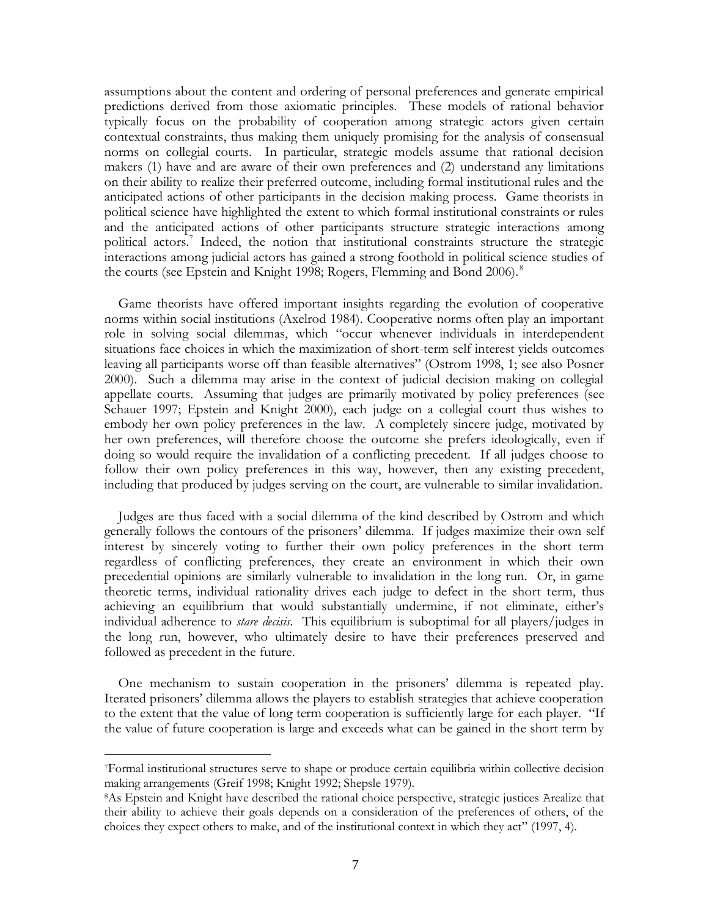assumptions about the content and ordering of personal preferences and generate empirical predictions derived from those axiomatic principles. These models of rational behavior typically focus on the probability of cooperation among strategic actors given certain contextual constraints, thus making them uniquely promising for the analysis of consensual norms on collegial courts. In particular, strategic models assume that rational decision makers (1) have and are aware of their own preferences and (2) understand any limitations on their ability to realize their preferred outcome, including formal institutional rules and the anticipated actions of other participants in the decision making process. Game theorists in political science have highlighted the extent to which formal institutional constraints or rules and the anticipated actions of other participants structure strategic interactions among political actors.<sup>7</sup> Indeed, the notion that institutional constraints structure the strategic interactions among judicial actors has gained a strong foothold in political science studies of the courts (see Epstein and Knight 1998; Rogers, Flemming and Bond 2006).<sup>8</sup>

Game theorists have offered important insights regarding the evolution of cooperative norms within social institutions (Axelrod 1984). Cooperative norms often play an important role in solving social dilemmas, which "occur whenever individuals in interdependent situations face choices in which the maximization of short-term self interest yields outcomes leaving all participants worse off than feasible alternatives" (Ostrom 1998, 1; see also Posner 2000). Such a dilemma may arise in the context of judicial decision making on collegial appellate courts. Assuming that judges are primarily motivated by policy preferences (see Schauer 1997; Epstein and Knight 2000), each judge on a collegial court thus wishes to embody her own policy preferences in the law. A completely sincere judge, motivated by her own preferences, will therefore choose the outcome she prefers ideologically, even if doing so would require the invalidation of a conflicting precedent. If all judges choose to follow their own policy preferences in this way, however, then any existing precedent, including that produced by judges serving on the court, are vulnerable to similar invalidation.

Judges are thus faced with a social dilemma of the kind described by Ostrom and which generally follows the contours of the prisoners" dilemma. If judges maximize their own self interest by sincerely voting to further their own policy preferences in the short term regardless of conflicting preferences, they create an environment in which their own precedential opinions are similarly vulnerable to invalidation in the long run. Or, in game theoretic terms, individual rationality drives each judge to defect in the short term, thus achieving an equilibrium that would substantially undermine, if not eliminate, either"s individual adherence to *stare decisis.* This equilibrium is suboptimal for all players/judges in the long run, however, who ultimately desire to have their preferences preserved and followed as precedent in the future.

One mechanism to sustain cooperation in the prisoners" dilemma is repeated play. Iterated prisoners" dilemma allows the players to establish strategies that achieve cooperation to the extent that the value of long term cooperation is sufficiently large for each player. "If the value of future cooperation is large and exceeds what can be gained in the short term by

<sup>7</sup>Formal institutional structures serve to shape or produce certain equilibria within collective decision making arrangements (Greif 1998; Knight 1992; Shepsle 1979).

<sup>8</sup>As Epstein and Knight have described the rational choice perspective, strategic justices Arealize that their ability to achieve their goals depends on a consideration of the preferences of others, of the choices they expect others to make, and of the institutional context in which they act" (1997, 4).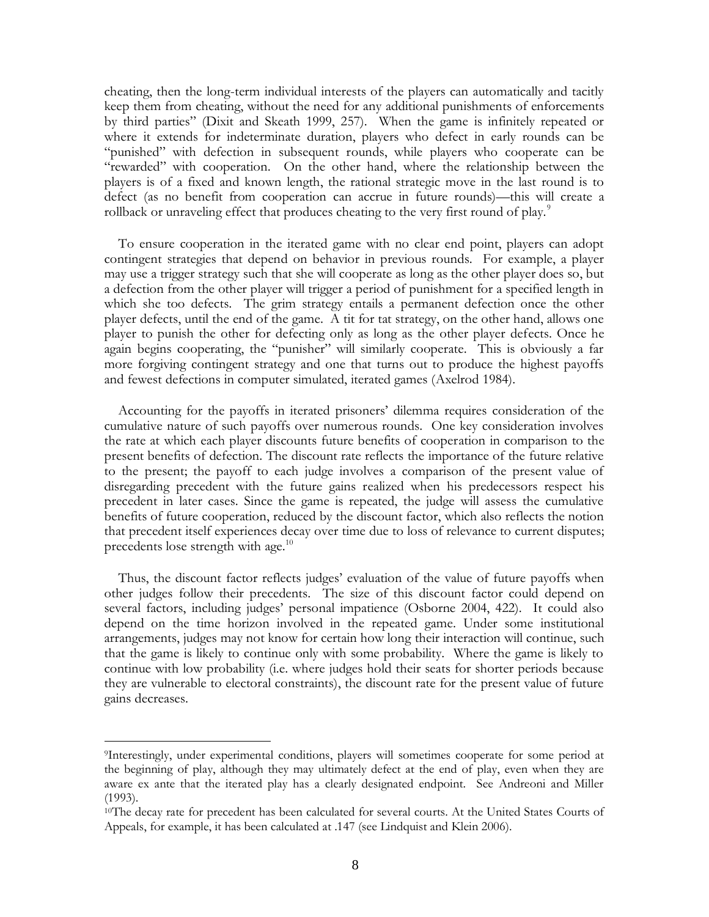cheating, then the long-term individual interests of the players can automatically and tacitly keep them from cheating, without the need for any additional punishments of enforcements by third parties" (Dixit and Skeath 1999, 257). When the game is infinitely repeated or where it extends for indeterminate duration, players who defect in early rounds can be "punished" with defection in subsequent rounds, while players who cooperate can be "rewarded" with cooperation. On the other hand, where the relationship between the players is of a fixed and known length, the rational strategic move in the last round is to defect (as no benefit from cooperation can accrue in future rounds)—this will create a rollback or unraveling effect that produces cheating to the very first round of play.<sup>9</sup>

To ensure cooperation in the iterated game with no clear end point, players can adopt contingent strategies that depend on behavior in previous rounds. For example, a player may use a trigger strategy such that she will cooperate as long as the other player does so, but a defection from the other player will trigger a period of punishment for a specified length in which she too defects. The grim strategy entails a permanent defection once the other player defects, until the end of the game. A tit for tat strategy, on the other hand, allows one player to punish the other for defecting only as long as the other player defects. Once he again begins cooperating, the "punisher" will similarly cooperate. This is obviously a far more forgiving contingent strategy and one that turns out to produce the highest payoffs and fewest defections in computer simulated, iterated games (Axelrod 1984).

Accounting for the payoffs in iterated prisoners" dilemma requires consideration of the cumulative nature of such payoffs over numerous rounds. One key consideration involves the rate at which each player discounts future benefits of cooperation in comparison to the present benefits of defection. The discount rate reflects the importance of the future relative to the present; the payoff to each judge involves a comparison of the present value of disregarding precedent with the future gains realized when his predecessors respect his precedent in later cases. Since the game is repeated, the judge will assess the cumulative benefits of future cooperation, reduced by the discount factor, which also reflects the notion that precedent itself experiences decay over time due to loss of relevance to current disputes; precedents lose strength with age.<sup>10</sup>

Thus, the discount factor reflects judges' evaluation of the value of future payoffs when other judges follow their precedents. The size of this discount factor could depend on several factors, including judges" personal impatience (Osborne 2004, 422). It could also depend on the time horizon involved in the repeated game. Under some institutional arrangements, judges may not know for certain how long their interaction will continue, such that the game is likely to continue only with some probability. Where the game is likely to continue with low probability (i.e. where judges hold their seats for shorter periods because they are vulnerable to electoral constraints), the discount rate for the present value of future gains decreases.

<sup>9</sup>Interestingly, under experimental conditions, players will sometimes cooperate for some period at the beginning of play, although they may ultimately defect at the end of play, even when they are aware ex ante that the iterated play has a clearly designated endpoint. See Andreoni and Miller (1993).

<sup>&</sup>lt;sup>10</sup>The decay rate for precedent has been calculated for several courts. At the United States Courts of Appeals, for example, it has been calculated at .147 (see Lindquist and Klein 2006).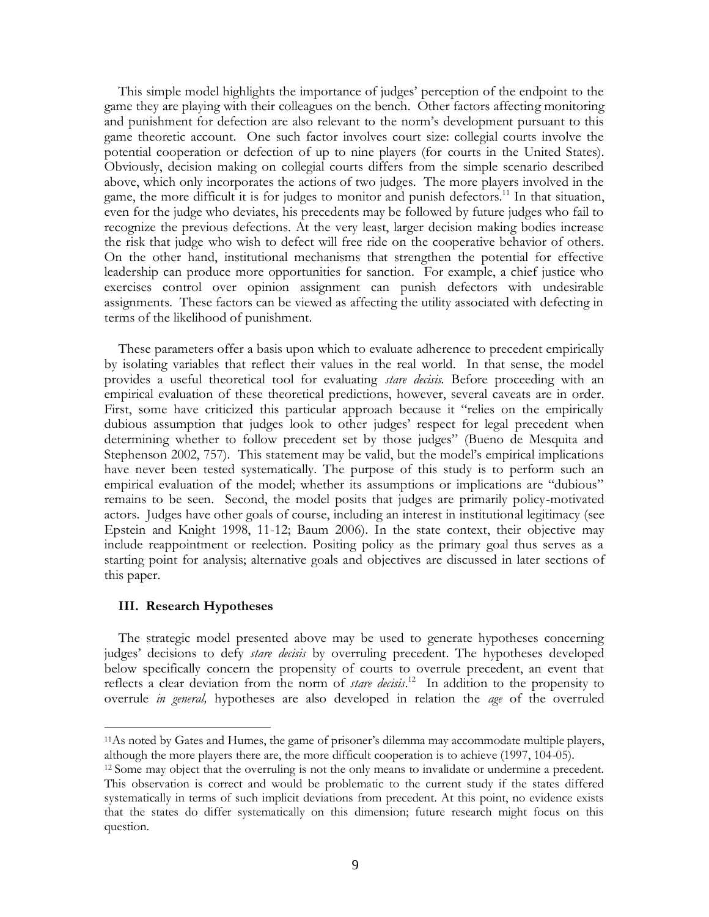This simple model highlights the importance of judges' perception of the endpoint to the game they are playing with their colleagues on the bench. Other factors affecting monitoring and punishment for defection are also relevant to the norm"s development pursuant to this game theoretic account. One such factor involves court size: collegial courts involve the potential cooperation or defection of up to nine players (for courts in the United States). Obviously, decision making on collegial courts differs from the simple scenario described above, which only incorporates the actions of two judges. The more players involved in the game, the more difficult it is for judges to monitor and punish defectors.<sup>11</sup> In that situation, even for the judge who deviates, his precedents may be followed by future judges who fail to recognize the previous defections. At the very least, larger decision making bodies increase the risk that judge who wish to defect will free ride on the cooperative behavior of others. On the other hand, institutional mechanisms that strengthen the potential for effective leadership can produce more opportunities for sanction. For example, a chief justice who exercises control over opinion assignment can punish defectors with undesirable assignments. These factors can be viewed as affecting the utility associated with defecting in terms of the likelihood of punishment.

These parameters offer a basis upon which to evaluate adherence to precedent empirically by isolating variables that reflect their values in the real world. In that sense, the model provides a useful theoretical tool for evaluating *stare decisis.* Before proceeding with an empirical evaluation of these theoretical predictions, however, several caveats are in order. First, some have criticized this particular approach because it "relies on the empirically dubious assumption that judges look to other judges" respect for legal precedent when determining whether to follow precedent set by those judges" (Bueno de Mesquita and Stephenson 2002, 757). This statement may be valid, but the model"s empirical implications have never been tested systematically. The purpose of this study is to perform such an empirical evaluation of the model; whether its assumptions or implications are "dubious" remains to be seen. Second, the model posits that judges are primarily policy-motivated actors. Judges have other goals of course, including an interest in institutional legitimacy (see Epstein and Knight 1998, 11-12; Baum 2006). In the state context, their objective may include reappointment or reelection. Positing policy as the primary goal thus serves as a starting point for analysis; alternative goals and objectives are discussed in later sections of this paper.

#### **III. Research Hypotheses**

 $\overline{a}$ 

The strategic model presented above may be used to generate hypotheses concerning judges" decisions to defy *stare decisis* by overruling precedent. The hypotheses developed below specifically concern the propensity of courts to overrule precedent, an event that reflects a clear deviation from the norm of *stare decisis*. 12 In addition to the propensity to overrule *in general,* hypotheses are also developed in relation the *age* of the overruled

<sup>11</sup>As noted by Gates and Humes, the game of prisoner"s dilemma may accommodate multiple players, although the more players there are, the more difficult cooperation is to achieve (1997, 104-05).

<sup>12</sup> Some may object that the overruling is not the only means to invalidate or undermine a precedent. This observation is correct and would be problematic to the current study if the states differed systematically in terms of such implicit deviations from precedent. At this point, no evidence exists that the states do differ systematically on this dimension; future research might focus on this question.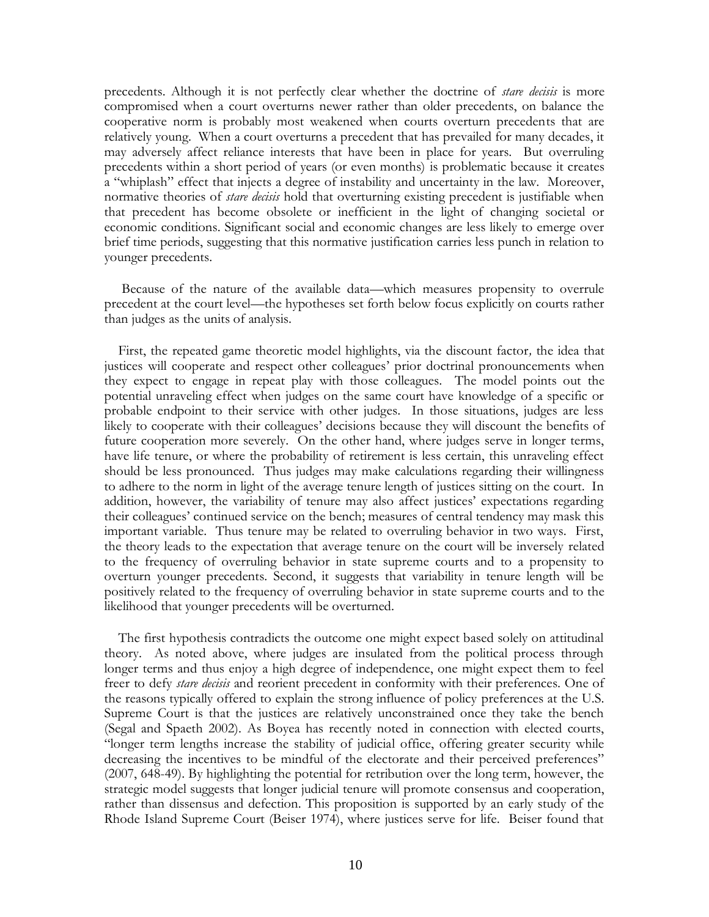precedents. Although it is not perfectly clear whether the doctrine of *stare decisis* is more compromised when a court overturns newer rather than older precedents, on balance the cooperative norm is probably most weakened when courts overturn precedents that are relatively young. When a court overturns a precedent that has prevailed for many decades, it may adversely affect reliance interests that have been in place for years. But overruling precedents within a short period of years (or even months) is problematic because it creates a "whiplash" effect that injects a degree of instability and uncertainty in the law. Moreover, normative theories of *stare decisis* hold that overturning existing precedent is justifiable when that precedent has become obsolete or inefficient in the light of changing societal or economic conditions. Significant social and economic changes are less likely to emerge over brief time periods, suggesting that this normative justification carries less punch in relation to younger precedents.

Because of the nature of the available data—which measures propensity to overrule precedent at the court level—the hypotheses set forth below focus explicitly on courts rather than judges as the units of analysis.

First, the repeated game theoretic model highlights, via the discount factor*,* the idea that justices will cooperate and respect other colleagues' prior doctrinal pronouncements when they expect to engage in repeat play with those colleagues. The model points out the potential unraveling effect when judges on the same court have knowledge of a specific or probable endpoint to their service with other judges. In those situations, judges are less likely to cooperate with their colleagues" decisions because they will discount the benefits of future cooperation more severely. On the other hand, where judges serve in longer terms, have life tenure, or where the probability of retirement is less certain, this unraveling effect should be less pronounced. Thus judges may make calculations regarding their willingness to adhere to the norm in light of the average tenure length of justices sitting on the court. In addition, however, the variability of tenure may also affect justices' expectations regarding their colleagues' continued service on the bench; measures of central tendency may mask this important variable. Thus tenure may be related to overruling behavior in two ways. First, the theory leads to the expectation that average tenure on the court will be inversely related to the frequency of overruling behavior in state supreme courts and to a propensity to overturn younger precedents. Second, it suggests that variability in tenure length will be positively related to the frequency of overruling behavior in state supreme courts and to the likelihood that younger precedents will be overturned.

The first hypothesis contradicts the outcome one might expect based solely on attitudinal theory. As noted above, where judges are insulated from the political process through longer terms and thus enjoy a high degree of independence, one might expect them to feel freer to defy *stare decisis* and reorient precedent in conformity with their preferences. One of the reasons typically offered to explain the strong influence of policy preferences at the U.S. Supreme Court is that the justices are relatively unconstrained once they take the bench (Segal and Spaeth 2002). As Boyea has recently noted in connection with elected courts, "longer term lengths increase the stability of judicial office, offering greater security while decreasing the incentives to be mindful of the electorate and their perceived preferences" (2007, 648-49). By highlighting the potential for retribution over the long term, however, the strategic model suggests that longer judicial tenure will promote consensus and cooperation, rather than dissensus and defection. This proposition is supported by an early study of the Rhode Island Supreme Court (Beiser 1974), where justices serve for life. Beiser found that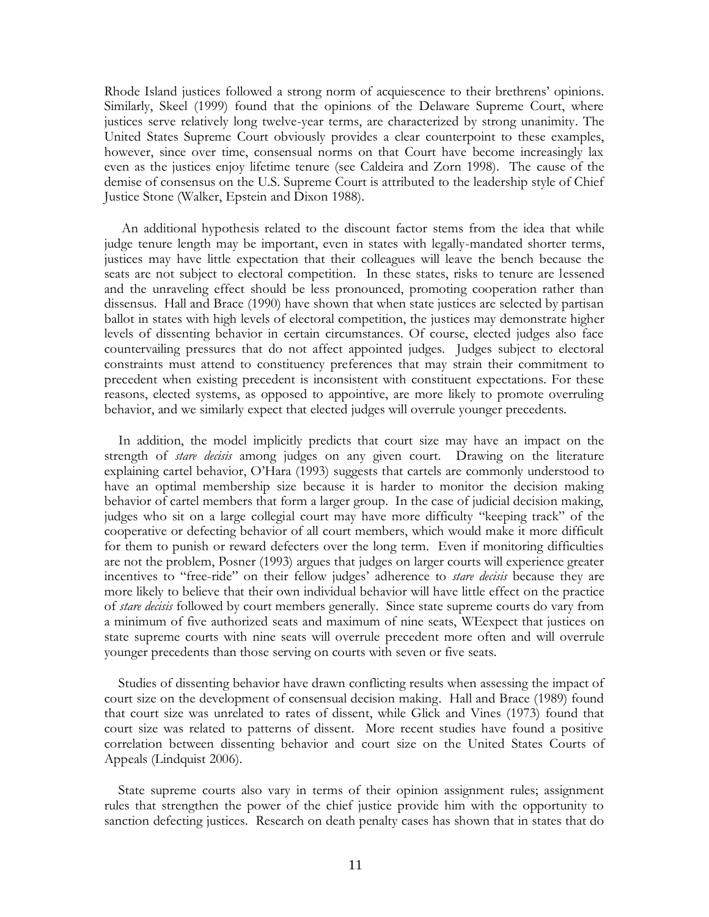Rhode Island justices followed a strong norm of acquiescence to their brethrens" opinions. Similarly, Skeel (1999) found that the opinions of the Delaware Supreme Court, where justices serve relatively long twelve-year terms, are characterized by strong unanimity. The United States Supreme Court obviously provides a clear counterpoint to these examples, however, since over time, consensual norms on that Court have become increasingly lax even as the justices enjoy lifetime tenure (see Caldeira and Zorn 1998). The cause of the demise of consensus on the U.S. Supreme Court is attributed to the leadership style of Chief Justice Stone (Walker, Epstein and Dixon 1988).

An additional hypothesis related to the discount factor stems from the idea that while judge tenure length may be important, even in states with legally-mandated shorter terms, justices may have little expectation that their colleagues will leave the bench because the seats are not subject to electoral competition. In these states, risks to tenure are lessened and the unraveling effect should be less pronounced, promoting cooperation rather than dissensus. Hall and Brace (1990) have shown that when state justices are selected by partisan ballot in states with high levels of electoral competition, the justices may demonstrate higher levels of dissenting behavior in certain circumstances. Of course, elected judges also face countervailing pressures that do not affect appointed judges. Judges subject to electoral constraints must attend to constituency preferences that may strain their commitment to precedent when existing precedent is inconsistent with constituent expectations. For these reasons, elected systems, as opposed to appointive, are more likely to promote overruling behavior, and we similarly expect that elected judges will overrule younger precedents.

In addition, the model implicitly predicts that court size may have an impact on the strength of *stare decisis* among judges on any given court. Drawing on the literature explaining cartel behavior, O"Hara (1993) suggests that cartels are commonly understood to have an optimal membership size because it is harder to monitor the decision making behavior of cartel members that form a larger group. In the case of judicial decision making, judges who sit on a large collegial court may have more difficulty "keeping track" of the cooperative or defecting behavior of all court members, which would make it more difficult for them to punish or reward defecters over the long term. Even if monitoring difficulties are not the problem, Posner (1993) argues that judges on larger courts will experience greater incentives to "free-ride" on their fellow judges" adherence to *stare decisis* because they are more likely to believe that their own individual behavior will have little effect on the practice of *stare decisis* followed by court members generally. Since state supreme courts do vary from a minimum of five authorized seats and maximum of nine seats, WEexpect that justices on state supreme courts with nine seats will overrule precedent more often and will overrule younger precedents than those serving on courts with seven or five seats.

Studies of dissenting behavior have drawn conflicting results when assessing the impact of court size on the development of consensual decision making. Hall and Brace (1989) found that court size was unrelated to rates of dissent, while Glick and Vines (1973) found that court size was related to patterns of dissent. More recent studies have found a positive correlation between dissenting behavior and court size on the United States Courts of Appeals (Lindquist 2006).

State supreme courts also vary in terms of their opinion assignment rules; assignment rules that strengthen the power of the chief justice provide him with the opportunity to sanction defecting justices. Research on death penalty cases has shown that in states that do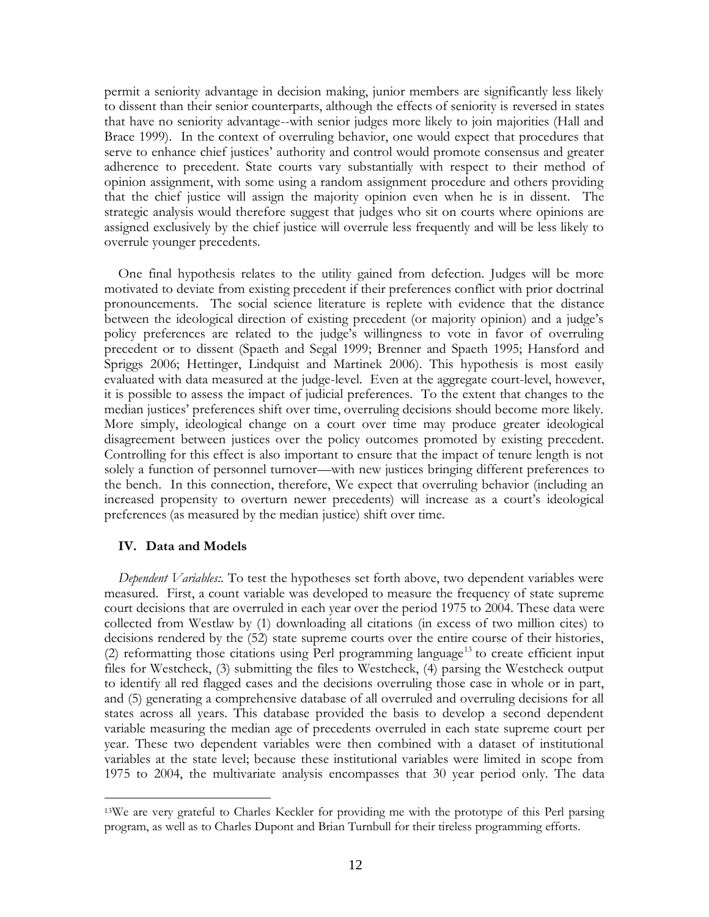permit a seniority advantage in decision making, junior members are significantly less likely to dissent than their senior counterparts, although the effects of seniority is reversed in states that have no seniority advantage--with senior judges more likely to join majorities (Hall and Brace 1999). In the context of overruling behavior, one would expect that procedures that serve to enhance chief justices' authority and control would promote consensus and greater adherence to precedent. State courts vary substantially with respect to their method of opinion assignment, with some using a random assignment procedure and others providing that the chief justice will assign the majority opinion even when he is in dissent. The strategic analysis would therefore suggest that judges who sit on courts where opinions are assigned exclusively by the chief justice will overrule less frequently and will be less likely to overrule younger precedents.

One final hypothesis relates to the utility gained from defection. Judges will be more motivated to deviate from existing precedent if their preferences conflict with prior doctrinal pronouncements. The social science literature is replete with evidence that the distance between the ideological direction of existing precedent (or majority opinion) and a judge's policy preferences are related to the judge"s willingness to vote in favor of overruling precedent or to dissent (Spaeth and Segal 1999; Brenner and Spaeth 1995; Hansford and Spriggs 2006; Hettinger, Lindquist and Martinek 2006). This hypothesis is most easily evaluated with data measured at the judge-level. Even at the aggregate court-level, however, it is possible to assess the impact of judicial preferences. To the extent that changes to the median justices" preferences shift over time, overruling decisions should become more likely. More simply, ideological change on a court over time may produce greater ideological disagreement between justices over the policy outcomes promoted by existing precedent. Controlling for this effect is also important to ensure that the impact of tenure length is not solely a function of personnel turnover—with new justices bringing different preferences to the bench. In this connection, therefore, We expect that overruling behavior (including an increased propensity to overturn newer precedents) will increase as a court's ideological preferences (as measured by the median justice) shift over time.

### **IV. Data and Models**

 $\overline{a}$ 

*Dependent Variables:.* To test the hypotheses set forth above, two dependent variables were measured. First, a count variable was developed to measure the frequency of state supreme court decisions that are overruled in each year over the period 1975 to 2004. These data were collected from Westlaw by (1) downloading all citations (in excess of two million cites) to decisions rendered by the (52) state supreme courts over the entire course of their histories, (2) reformatting those citations using Perl programming language<sup>13</sup> to create efficient input files for Westcheck, (3) submitting the files to Westcheck, (4) parsing the Westcheck output to identify all red flagged cases and the decisions overruling those case in whole or in part, and (5) generating a comprehensive database of all overruled and overruling decisions for all states across all years. This database provided the basis to develop a second dependent variable measuring the median age of precedents overruled in each state supreme court per year. These two dependent variables were then combined with a dataset of institutional variables at the state level; because these institutional variables were limited in scope from 1975 to 2004, the multivariate analysis encompasses that 30 year period only. The data

<sup>13</sup>We are very grateful to Charles Keckler for providing me with the prototype of this Perl parsing program, as well as to Charles Dupont and Brian Turnbull for their tireless programming efforts.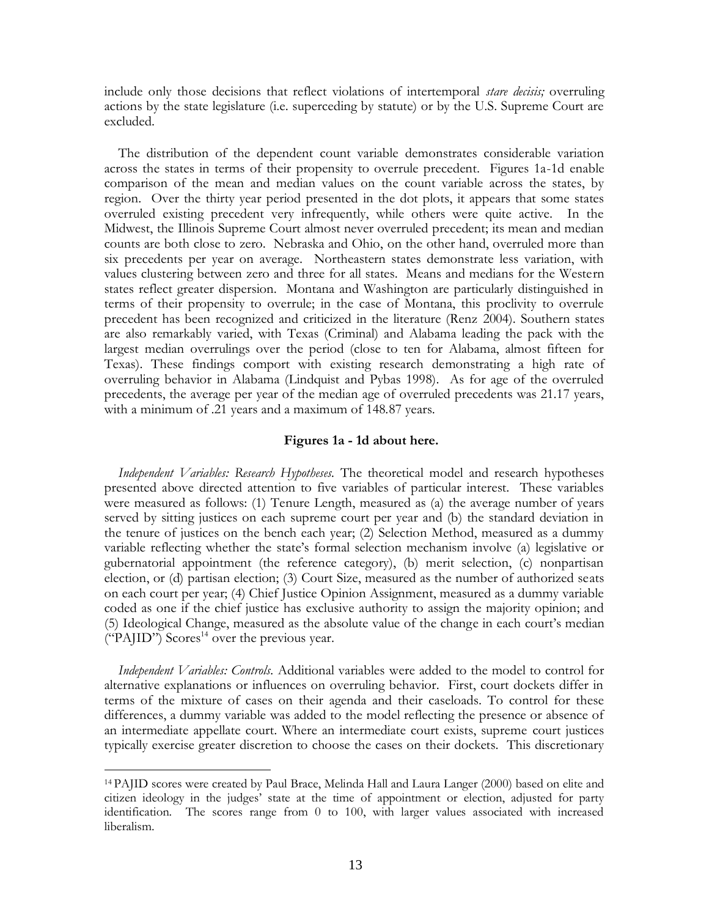include only those decisions that reflect violations of intertemporal *stare decisis;* overruling actions by the state legislature (i.e. superceding by statute) or by the U.S. Supreme Court are excluded.

The distribution of the dependent count variable demonstrates considerable variation across the states in terms of their propensity to overrule precedent. Figures 1a-1d enable comparison of the mean and median values on the count variable across the states, by region. Over the thirty year period presented in the dot plots, it appears that some states overruled existing precedent very infrequently, while others were quite active. In the Midwest, the Illinois Supreme Court almost never overruled precedent; its mean and median counts are both close to zero. Nebraska and Ohio, on the other hand, overruled more than six precedents per year on average. Northeastern states demonstrate less variation, with values clustering between zero and three for all states. Means and medians for the Western states reflect greater dispersion. Montana and Washington are particularly distinguished in terms of their propensity to overrule; in the case of Montana, this proclivity to overrule precedent has been recognized and criticized in the literature (Renz 2004). Southern states are also remarkably varied, with Texas (Criminal) and Alabama leading the pack with the largest median overrulings over the period (close to ten for Alabama, almost fifteen for Texas). These findings comport with existing research demonstrating a high rate of overruling behavior in Alabama (Lindquist and Pybas 1998). As for age of the overruled precedents, the average per year of the median age of overruled precedents was 21.17 years, with a minimum of .21 years and a maximum of 148.87 years.

### **Figures 1a - 1d about here.**

*Independent Variables: Research Hypotheses.* The theoretical model and research hypotheses presented above directed attention to five variables of particular interest. These variables were measured as follows: (1) Tenure Length, measured as (a) the average number of years served by sitting justices on each supreme court per year and (b) the standard deviation in the tenure of justices on the bench each year; (2) Selection Method, measured as a dummy variable reflecting whether the state"s formal selection mechanism involve (a) legislative or gubernatorial appointment (the reference category), (b) merit selection, (c) nonpartisan election, or (d) partisan election; (3) Court Size, measured as the number of authorized seats on each court per year; (4) Chief Justice Opinion Assignment, measured as a dummy variable coded as one if the chief justice has exclusive authority to assign the majority opinion; and (5) Ideological Change, measured as the absolute value of the change in each court"s median  $\overline{({}^{\alpha}PAJID^{\alpha})}$  Scores<sup>14</sup> over the previous year.

*Independent Variables: Controls.* Additional variables were added to the model to control for alternative explanations or influences on overruling behavior. First, court dockets differ in terms of the mixture of cases on their agenda and their caseloads. To control for these differences, a dummy variable was added to the model reflecting the presence or absence of an intermediate appellate court. Where an intermediate court exists, supreme court justices typically exercise greater discretion to choose the cases on their dockets. This discretionary

<sup>14</sup> PAJID scores were created by Paul Brace, Melinda Hall and Laura Langer (2000) based on elite and citizen ideology in the judges" state at the time of appointment or election, adjusted for party identification. The scores range from 0 to 100, with larger values associated with increased liberalism.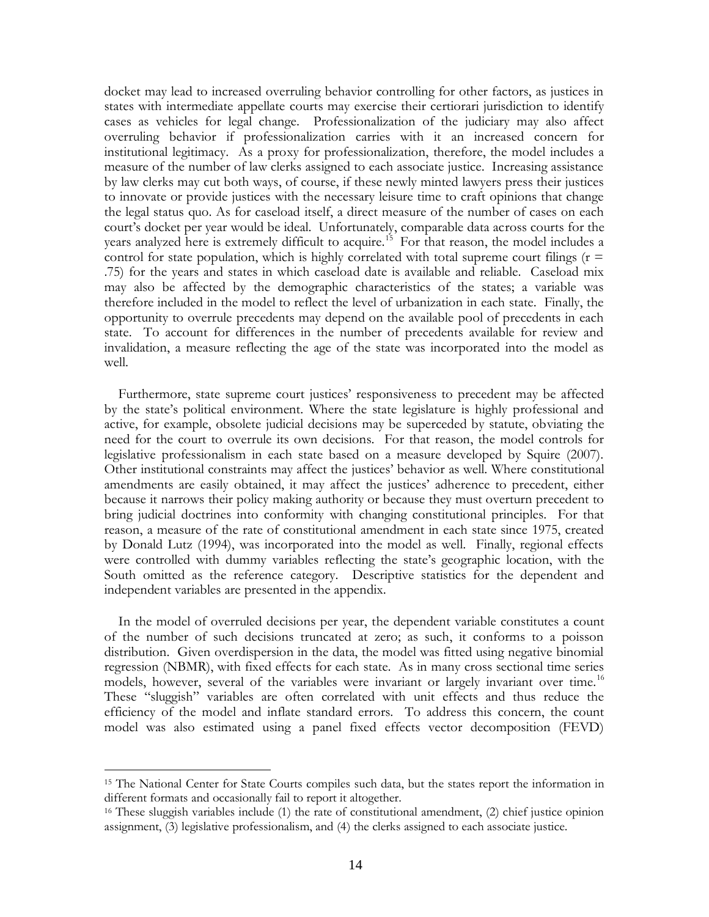docket may lead to increased overruling behavior controlling for other factors, as justices in states with intermediate appellate courts may exercise their certiorari jurisdiction to identify cases as vehicles for legal change. Professionalization of the judiciary may also affect overruling behavior if professionalization carries with it an increased concern for institutional legitimacy. As a proxy for professionalization, therefore, the model includes a measure of the number of law clerks assigned to each associate justice. Increasing assistance by law clerks may cut both ways, of course, if these newly minted lawyers press their justices to innovate or provide justices with the necessary leisure time to craft opinions that change the legal status quo. As for caseload itself, a direct measure of the number of cases on each court"s docket per year would be ideal. Unfortunately, comparable data across courts for the years analyzed here is extremely difficult to acquire.<sup>15</sup> For that reason, the model includes a control for state population, which is highly correlated with total supreme court filings ( $r =$ .75) for the years and states in which caseload date is available and reliable. Caseload mix may also be affected by the demographic characteristics of the states; a variable was therefore included in the model to reflect the level of urbanization in each state. Finally, the opportunity to overrule precedents may depend on the available pool of precedents in each state. To account for differences in the number of precedents available for review and invalidation, a measure reflecting the age of the state was incorporated into the model as well.

Furthermore, state supreme court justices" responsiveness to precedent may be affected by the state"s political environment. Where the state legislature is highly professional and active, for example, obsolete judicial decisions may be superceded by statute, obviating the need for the court to overrule its own decisions. For that reason, the model controls for legislative professionalism in each state based on a measure developed by Squire (2007). Other institutional constraints may affect the justices" behavior as well. Where constitutional amendments are easily obtained, it may affect the justices" adherence to precedent, either because it narrows their policy making authority or because they must overturn precedent to bring judicial doctrines into conformity with changing constitutional principles. For that reason, a measure of the rate of constitutional amendment in each state since 1975, created by Donald Lutz (1994), was incorporated into the model as well. Finally, regional effects were controlled with dummy variables reflecting the state"s geographic location, with the South omitted as the reference category. Descriptive statistics for the dependent and independent variables are presented in the appendix.

In the model of overruled decisions per year, the dependent variable constitutes a count of the number of such decisions truncated at zero; as such, it conforms to a poisson distribution. Given overdispersion in the data, the model was fitted using negative binomial regression (NBMR), with fixed effects for each state. As in many cross sectional time series models, however, several of the variables were invariant or largely invariant over time.<sup>16</sup> These "sluggish" variables are often correlated with unit effects and thus reduce the efficiency of the model and inflate standard errors. To address this concern, the count model was also estimated using a panel fixed effects vector decomposition (FEVD)

<sup>&</sup>lt;sup>15</sup> The National Center for State Courts compiles such data, but the states report the information in different formats and occasionally fail to report it altogether.

<sup>16</sup> These sluggish variables include (1) the rate of constitutional amendment, (2) chief justice opinion assignment, (3) legislative professionalism, and (4) the clerks assigned to each associate justice.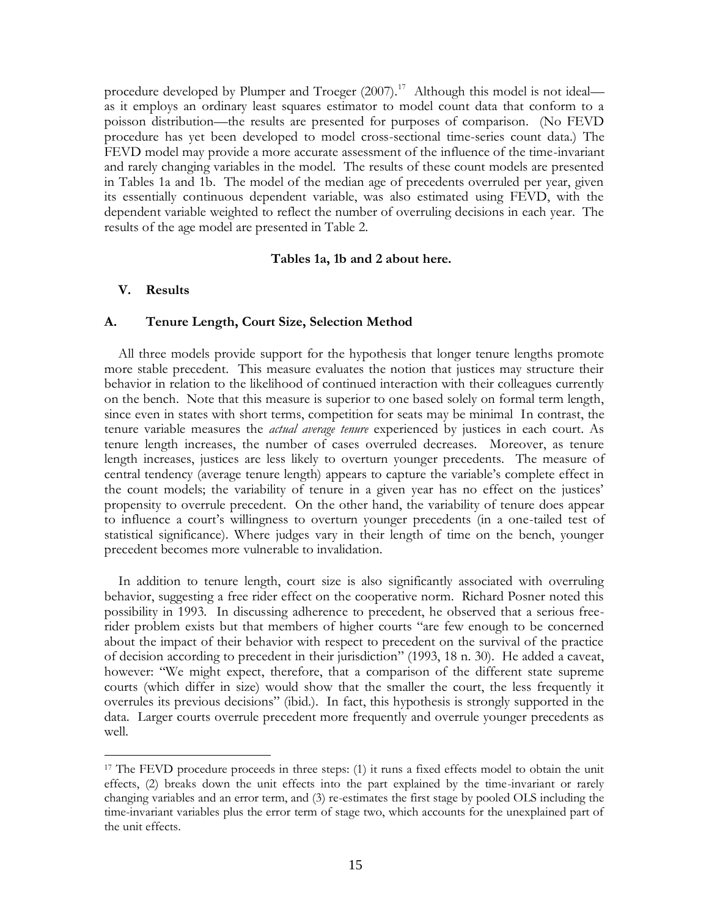procedure developed by Plumper and Troeger  $(2007).<sup>17</sup>$  Although this model is not ideal as it employs an ordinary least squares estimator to model count data that conform to a poisson distribution—the results are presented for purposes of comparison. (No FEVD procedure has yet been developed to model cross-sectional time-series count data.) The FEVD model may provide a more accurate assessment of the influence of the time-invariant and rarely changing variables in the model. The results of these count models are presented in Tables 1a and 1b. The model of the median age of precedents overruled per year, given its essentially continuous dependent variable, was also estimated using FEVD, with the dependent variable weighted to reflect the number of overruling decisions in each year. The results of the age model are presented in Table 2.

#### **Tables 1a, 1b and 2 about here.**

## **V. Results**

 $\overline{a}$ 

## **A. Tenure Length, Court Size, Selection Method**

All three models provide support for the hypothesis that longer tenure lengths promote more stable precedent. This measure evaluates the notion that justices may structure their behavior in relation to the likelihood of continued interaction with their colleagues currently on the bench. Note that this measure is superior to one based solely on formal term length, since even in states with short terms, competition for seats may be minimal In contrast, the tenure variable measures the *actual average tenure* experienced by justices in each court. As tenure length increases, the number of cases overruled decreases. Moreover, as tenure length increases, justices are less likely to overturn younger precedents. The measure of central tendency (average tenure length) appears to capture the variable"s complete effect in the count models; the variability of tenure in a given year has no effect on the justices' propensity to overrule precedent. On the other hand, the variability of tenure does appear to influence a court's willingness to overturn younger precedents (in a one-tailed test of statistical significance). Where judges vary in their length of time on the bench, younger precedent becomes more vulnerable to invalidation.

In addition to tenure length, court size is also significantly associated with overruling behavior, suggesting a free rider effect on the cooperative norm. Richard Posner noted this possibility in 1993. In discussing adherence to precedent, he observed that a serious freerider problem exists but that members of higher courts "are few enough to be concerned about the impact of their behavior with respect to precedent on the survival of the practice of decision according to precedent in their jurisdiction" (1993, 18 n. 30). He added a caveat, however: "We might expect, therefore, that a comparison of the different state supreme courts (which differ in size) would show that the smaller the court, the less frequently it overrules its previous decisions" (ibid.). In fact, this hypothesis is strongly supported in the data. Larger courts overrule precedent more frequently and overrule younger precedents as well.

<sup>17</sup> The FEVD procedure proceeds in three steps: (1) it runs a fixed effects model to obtain the unit effects, (2) breaks down the unit effects into the part explained by the time-invariant or rarely changing variables and an error term, and (3) re-estimates the first stage by pooled OLS including the time-invariant variables plus the error term of stage two, which accounts for the unexplained part of the unit effects.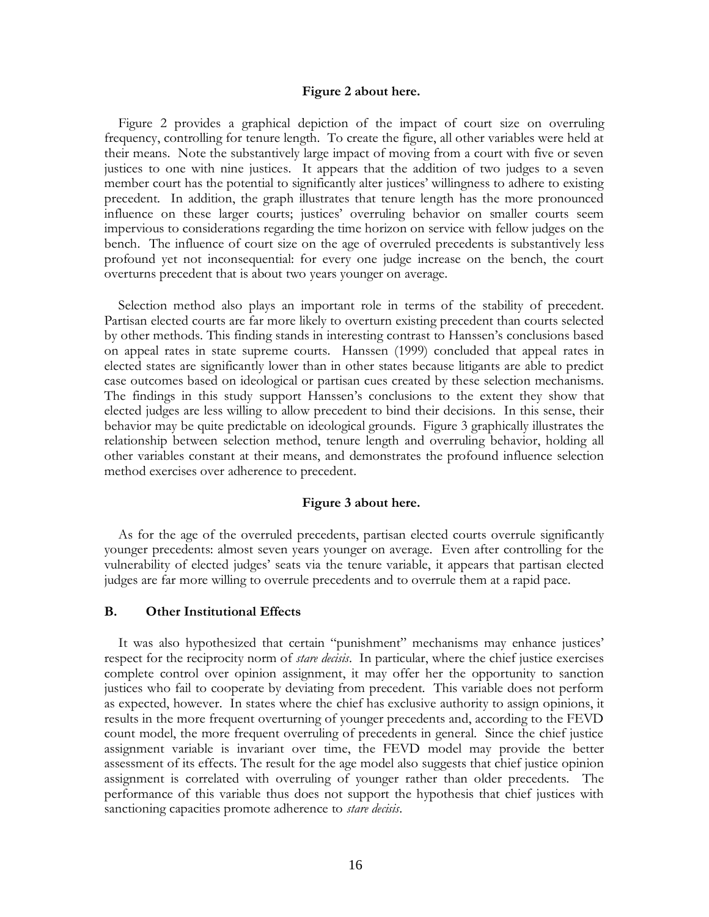#### **Figure 2 about here.**

Figure 2 provides a graphical depiction of the impact of court size on overruling frequency, controlling for tenure length. To create the figure, all other variables were held at their means. Note the substantively large impact of moving from a court with five or seven justices to one with nine justices. It appears that the addition of two judges to a seven member court has the potential to significantly alter justices' willingness to adhere to existing precedent. In addition, the graph illustrates that tenure length has the more pronounced influence on these larger courts; justices" overruling behavior on smaller courts seem impervious to considerations regarding the time horizon on service with fellow judges on the bench. The influence of court size on the age of overruled precedents is substantively less profound yet not inconsequential: for every one judge increase on the bench, the court overturns precedent that is about two years younger on average.

Selection method also plays an important role in terms of the stability of precedent. Partisan elected courts are far more likely to overturn existing precedent than courts selected by other methods. This finding stands in interesting contrast to Hanssen"s conclusions based on appeal rates in state supreme courts. Hanssen (1999) concluded that appeal rates in elected states are significantly lower than in other states because litigants are able to predict case outcomes based on ideological or partisan cues created by these selection mechanisms. The findings in this study support Hanssen"s conclusions to the extent they show that elected judges are less willing to allow precedent to bind their decisions. In this sense, their behavior may be quite predictable on ideological grounds. Figure 3 graphically illustrates the relationship between selection method, tenure length and overruling behavior, holding all other variables constant at their means, and demonstrates the profound influence selection method exercises over adherence to precedent.

## **Figure 3 about here.**

As for the age of the overruled precedents, partisan elected courts overrule significantly younger precedents: almost seven years younger on average. Even after controlling for the vulnerability of elected judges" seats via the tenure variable, it appears that partisan elected judges are far more willing to overrule precedents and to overrule them at a rapid pace.

## **B. Other Institutional Effects**

It was also hypothesized that certain "punishment" mechanisms may enhance justices' respect for the reciprocity norm of *stare decisis*. In particular, where the chief justice exercises complete control over opinion assignment, it may offer her the opportunity to sanction justices who fail to cooperate by deviating from precedent. This variable does not perform as expected, however. In states where the chief has exclusive authority to assign opinions, it results in the more frequent overturning of younger precedents and, according to the FEVD count model, the more frequent overruling of precedents in general. Since the chief justice assignment variable is invariant over time, the FEVD model may provide the better assessment of its effects. The result for the age model also suggests that chief justice opinion assignment is correlated with overruling of younger rather than older precedents. The performance of this variable thus does not support the hypothesis that chief justices with sanctioning capacities promote adherence to *stare decisis*.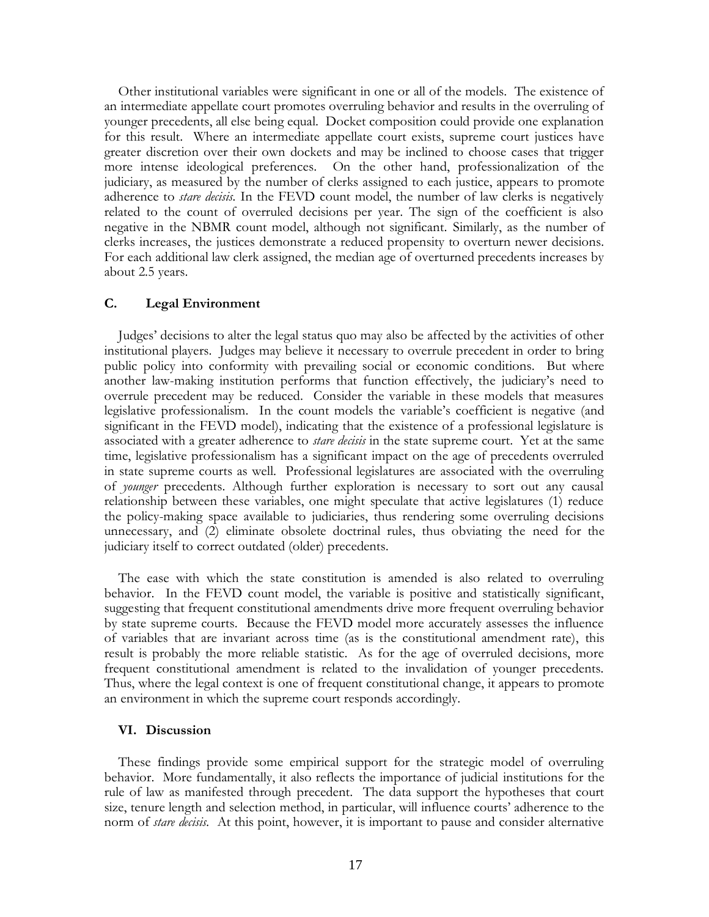Other institutional variables were significant in one or all of the models. The existence of an intermediate appellate court promotes overruling behavior and results in the overruling of younger precedents, all else being equal. Docket composition could provide one explanation for this result. Where an intermediate appellate court exists, supreme court justices have greater discretion over their own dockets and may be inclined to choose cases that trigger more intense ideological preferences. On the other hand, professionalization of the judiciary, as measured by the number of clerks assigned to each justice, appears to promote adherence to *stare decisis.* In the FEVD count model, the number of law clerks is negatively related to the count of overruled decisions per year. The sign of the coefficient is also negative in the NBMR count model, although not significant. Similarly, as the number of clerks increases, the justices demonstrate a reduced propensity to overturn newer decisions. For each additional law clerk assigned, the median age of overturned precedents increases by about 2.5 years.

### **C. Legal Environment**

Judges" decisions to alter the legal status quo may also be affected by the activities of other institutional players. Judges may believe it necessary to overrule precedent in order to bring public policy into conformity with prevailing social or economic conditions. But where another law-making institution performs that function effectively, the judiciary"s need to overrule precedent may be reduced. Consider the variable in these models that measures legislative professionalism. In the count models the variable"s coefficient is negative (and significant in the FEVD model), indicating that the existence of a professional legislature is associated with a greater adherence to *stare decisis* in the state supreme court. Yet at the same time, legislative professionalism has a significant impact on the age of precedents overruled in state supreme courts as well. Professional legislatures are associated with the overruling of *younger* precedents. Although further exploration is necessary to sort out any causal relationship between these variables, one might speculate that active legislatures (1) reduce the policy-making space available to judiciaries, thus rendering some overruling decisions unnecessary, and (2) eliminate obsolete doctrinal rules, thus obviating the need for the judiciary itself to correct outdated (older) precedents.

The ease with which the state constitution is amended is also related to overruling behavior. In the FEVD count model, the variable is positive and statistically significant, suggesting that frequent constitutional amendments drive more frequent overruling behavior by state supreme courts. Because the FEVD model more accurately assesses the influence of variables that are invariant across time (as is the constitutional amendment rate), this result is probably the more reliable statistic. As for the age of overruled decisions, more frequent constitutional amendment is related to the invalidation of younger precedents. Thus, where the legal context is one of frequent constitutional change, it appears to promote an environment in which the supreme court responds accordingly.

#### **VI. Discussion**

These findings provide some empirical support for the strategic model of overruling behavior. More fundamentally, it also reflects the importance of judicial institutions for the rule of law as manifested through precedent. The data support the hypotheses that court size, tenure length and selection method, in particular, will influence courts' adherence to the norm of *stare decisis.* At this point, however, it is important to pause and consider alternative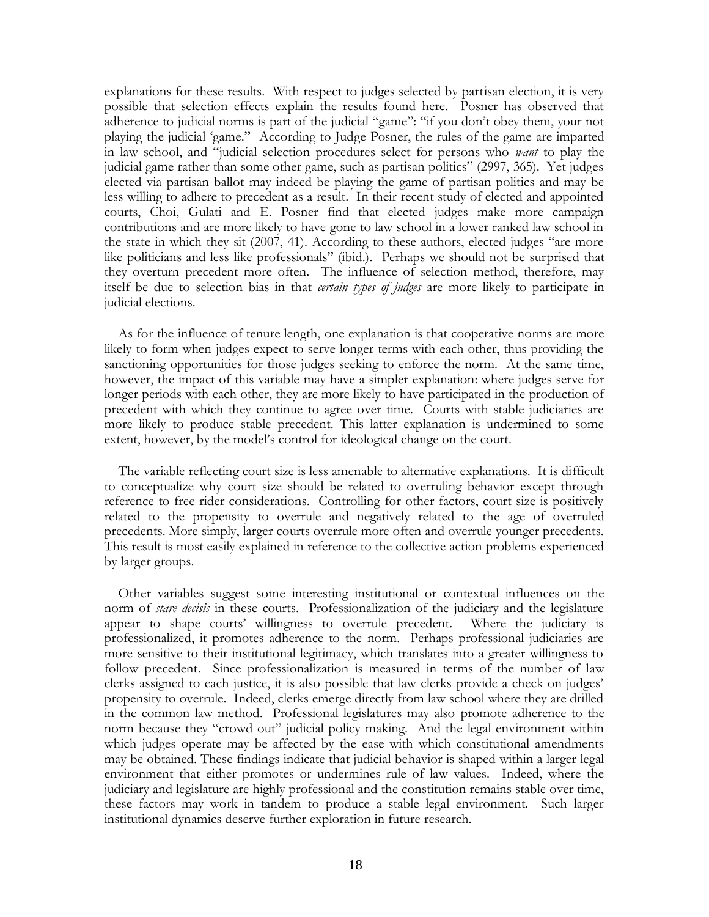explanations for these results. With respect to judges selected by partisan election, it is very possible that selection effects explain the results found here. Posner has observed that adherence to judicial norms is part of the judicial "game": "if you don"t obey them, your not playing the judicial "game." According to Judge Posner, the rules of the game are imparted in law school, and "judicial selection procedures select for persons who *want* to play the judicial game rather than some other game, such as partisan politics" (2997, 365). Yet judges elected via partisan ballot may indeed be playing the game of partisan politics and may be less willing to adhere to precedent as a result. In their recent study of elected and appointed courts, Choi, Gulati and E. Posner find that elected judges make more campaign contributions and are more likely to have gone to law school in a lower ranked law school in the state in which they sit (2007, 41). According to these authors, elected judges "are more like politicians and less like professionals" (ibid.). Perhaps we should not be surprised that they overturn precedent more often. The influence of selection method, therefore, may itself be due to selection bias in that *certain types of judges* are more likely to participate in judicial elections.

As for the influence of tenure length, one explanation is that cooperative norms are more likely to form when judges expect to serve longer terms with each other, thus providing the sanctioning opportunities for those judges seeking to enforce the norm. At the same time, however, the impact of this variable may have a simpler explanation: where judges serve for longer periods with each other, they are more likely to have participated in the production of precedent with which they continue to agree over time. Courts with stable judiciaries are more likely to produce stable precedent. This latter explanation is undermined to some extent, however, by the model"s control for ideological change on the court.

The variable reflecting court size is less amenable to alternative explanations. It is difficult to conceptualize why court size should be related to overruling behavior except through reference to free rider considerations. Controlling for other factors, court size is positively related to the propensity to overrule and negatively related to the age of overruled precedents. More simply, larger courts overrule more often and overrule younger precedents. This result is most easily explained in reference to the collective action problems experienced by larger groups.

Other variables suggest some interesting institutional or contextual influences on the norm of *stare decisis* in these courts. Professionalization of the judiciary and the legislature appear to shape courts' willingness to overrule precedent. Where the judiciary is professionalized, it promotes adherence to the norm. Perhaps professional judiciaries are more sensitive to their institutional legitimacy, which translates into a greater willingness to follow precedent. Since professionalization is measured in terms of the number of law clerks assigned to each justice, it is also possible that law clerks provide a check on judges" propensity to overrule. Indeed, clerks emerge directly from law school where they are drilled in the common law method. Professional legislatures may also promote adherence to the norm because they "crowd out" judicial policy making. And the legal environment within which judges operate may be affected by the ease with which constitutional amendments may be obtained. These findings indicate that judicial behavior is shaped within a larger legal environment that either promotes or undermines rule of law values. Indeed, where the judiciary and legislature are highly professional and the constitution remains stable over time, these factors may work in tandem to produce a stable legal environment. Such larger institutional dynamics deserve further exploration in future research.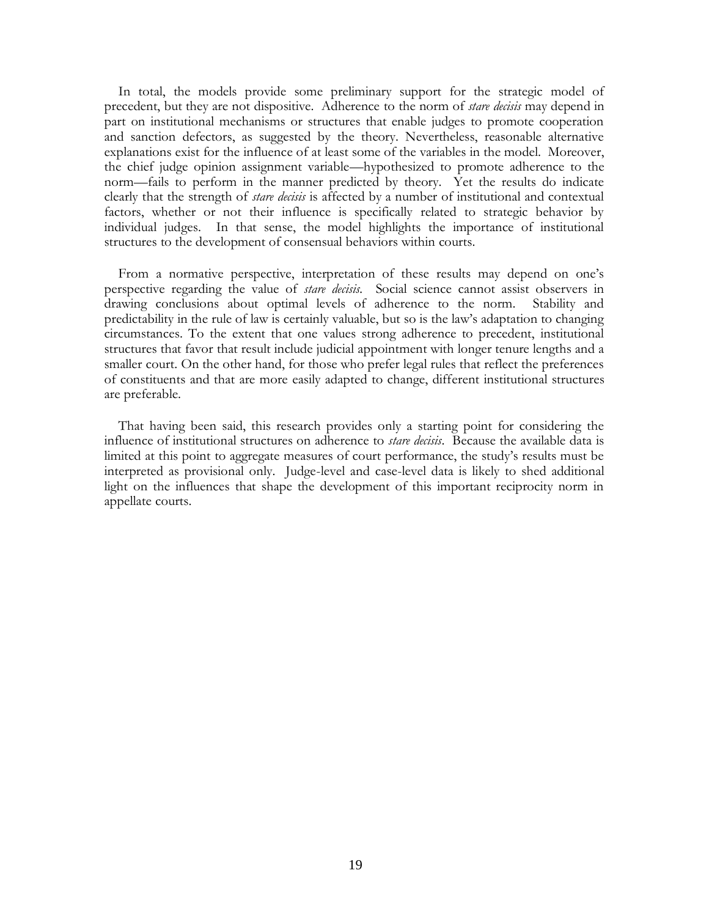In total, the models provide some preliminary support for the strategic model of precedent, but they are not dispositive. Adherence to the norm of *stare decisis* may depend in part on institutional mechanisms or structures that enable judges to promote cooperation and sanction defectors, as suggested by the theory. Nevertheless, reasonable alternative explanations exist for the influence of at least some of the variables in the model. Moreover, the chief judge opinion assignment variable—hypothesized to promote adherence to the norm—fails to perform in the manner predicted by theory. Yet the results do indicate clearly that the strength of *stare decisis* is affected by a number of institutional and contextual factors, whether or not their influence is specifically related to strategic behavior by individual judges. In that sense, the model highlights the importance of institutional structures to the development of consensual behaviors within courts.

From a normative perspective, interpretation of these results may depend on one's perspective regarding the value of *stare decisis.* Social science cannot assist observers in drawing conclusions about optimal levels of adherence to the norm. Stability and predictability in the rule of law is certainly valuable, but so is the law"s adaptation to changing circumstances. To the extent that one values strong adherence to precedent, institutional structures that favor that result include judicial appointment with longer tenure lengths and a smaller court. On the other hand, for those who prefer legal rules that reflect the preferences of constituents and that are more easily adapted to change, different institutional structures are preferable.

That having been said, this research provides only a starting point for considering the influence of institutional structures on adherence to *stare decisis*. Because the available data is limited at this point to aggregate measures of court performance, the study"s results must be interpreted as provisional only. Judge-level and case-level data is likely to shed additional light on the influences that shape the development of this important reciprocity norm in appellate courts.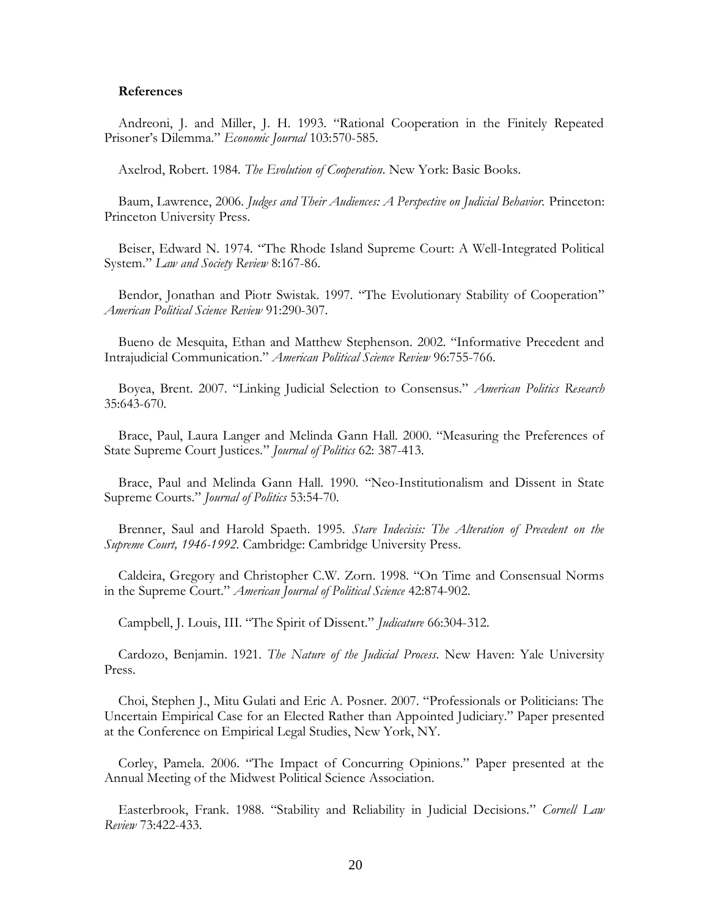#### **References**

Andreoni, J. and Miller, J. H. 1993. "Rational Cooperation in the Finitely Repeated Prisoner"s Dilemma." *Economic Journal* 103:570-585.

Axelrod, Robert. 1984. *The Evolution of Cooperation*. New York: Basic Books.

Baum, Lawrence, 2006. *Judges and Their Audiences: A Perspective on Judicial Behavior.* Princeton: Princeton University Press.

Beiser, Edward N. 1974. "The Rhode Island Supreme Court: A Well-Integrated Political System." *Law and Society Review* 8:167-86.

Bendor, Jonathan and Piotr Swistak. 1997. "The Evolutionary Stability of Cooperation" *American Political Science Review* 91:290-307.

Bueno de Mesquita, Ethan and Matthew Stephenson. 2002. "Informative Precedent and Intrajudicial Communication." *American Political Science Review* 96:755-766.

Boyea, Brent. 2007. "Linking Judicial Selection to Consensus." *American Politics Research*  35:643-670.

Brace, Paul, Laura Langer and Melinda Gann Hall. 2000. "Measuring the Preferences of State Supreme Court Justices." *Journal of Politics* 62: 387-413.

Brace, Paul and Melinda Gann Hall. 1990. "Neo-Institutionalism and Dissent in State Supreme Courts." *Journal of Politics* 53:54-70.

Brenner, Saul and Harold Spaeth. 1995. *Stare Indecisis: The Alteration of Precedent on the Supreme Court, 1946-1992*. Cambridge: Cambridge University Press.

Caldeira, Gregory and Christopher C.W. Zorn. 1998. "On Time and Consensual Norms in the Supreme Court." *American Journal of Political Science* 42:874-902.

Campbell, J. Louis, III. "The Spirit of Dissent." *Judicature* 66:304-312.

Cardozo, Benjamin. 1921. *The Nature of the Judicial Process*. New Haven: Yale University Press.

Choi, Stephen J., Mitu Gulati and Eric A. Posner. 2007. "Professionals or Politicians: The Uncertain Empirical Case for an Elected Rather than Appointed Judiciary." Paper presented at the Conference on Empirical Legal Studies, New York, NY.

Corley, Pamela. 2006. "The Impact of Concurring Opinions." Paper presented at the Annual Meeting of the Midwest Political Science Association.

Easterbrook, Frank. 1988. "Stability and Reliability in Judicial Decisions." *Cornell Law Review* 73:422-433.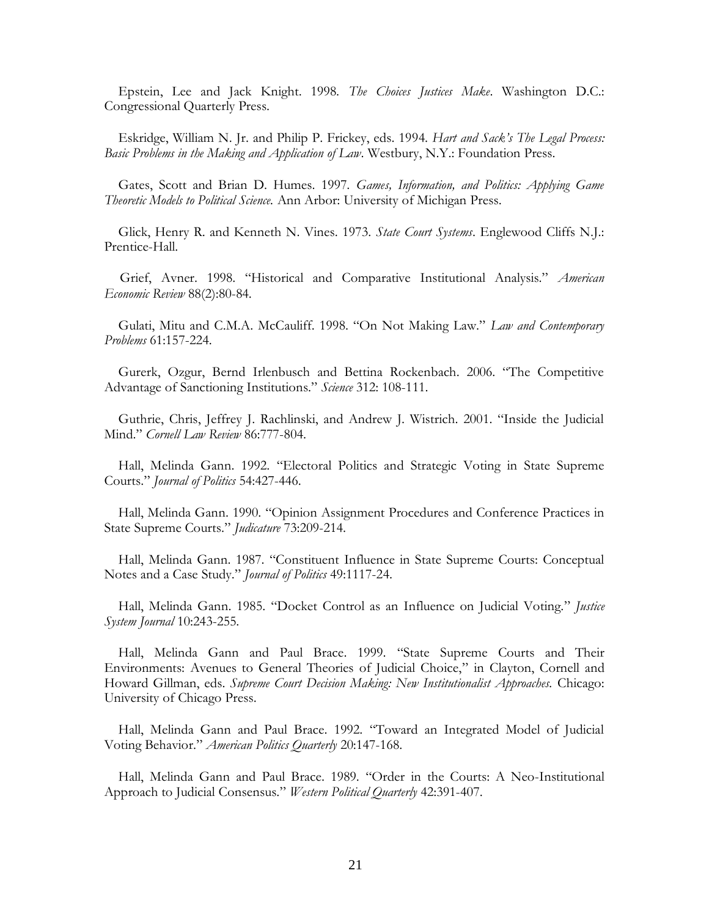Epstein, Lee and Jack Knight. 1998. *The Choices Justices Make*. Washington D.C.: Congressional Quarterly Press.

Eskridge, William N. Jr. and Philip P. Frickey, eds. 1994. *Hart and Sack's The Legal Process: Basic Problems in the Making and Application of Law*. Westbury, N.Y.: Foundation Press.

Gates, Scott and Brian D. Humes. 1997. *Games, Information, and Politics: Applying Game Theoretic Models to Political Science.* Ann Arbor: University of Michigan Press.

Glick, Henry R. and Kenneth N. Vines. 1973. *State Court Systems*. Englewood Cliffs N.J.: Prentice-Hall.

Grief, Avner. 1998. "Historical and Comparative Institutional Analysis." *American Economic Review* 88(2):80-84.

Gulati, Mitu and C.M.A. McCauliff. 1998. "On Not Making Law." *Law and Contemporary Problems* 61:157-224.

Gurerk, Ozgur, Bernd Irlenbusch and Bettina Rockenbach. 2006. "The Competitive Advantage of Sanctioning Institutions." *Science* 312: 108-111.

Guthrie, Chris, Jeffrey J. Rachlinski, and Andrew J. Wistrich. 2001. "Inside the Judicial Mind." *Cornell Law Review* 86:777-804.

Hall, Melinda Gann. 1992. "Electoral Politics and Strategic Voting in State Supreme Courts." *Journal of Politics* 54:427-446.

Hall, Melinda Gann. 1990. "Opinion Assignment Procedures and Conference Practices in State Supreme Courts." *Judicature* 73:209-214.

Hall, Melinda Gann. 1987. "Constituent Influence in State Supreme Courts: Conceptual Notes and a Case Study." *Journal of Politics* 49:1117-24.

Hall, Melinda Gann. 1985. "Docket Control as an Influence on Judicial Voting." *Justice System Journal* 10:243-255.

Hall, Melinda Gann and Paul Brace. 1999. "State Supreme Courts and Their Environments: Avenues to General Theories of Judicial Choice," in Clayton, Cornell and Howard Gillman, eds. *Supreme Court Decision Making: New Institutionalist Approaches.* Chicago: University of Chicago Press.

Hall, Melinda Gann and Paul Brace. 1992. "Toward an Integrated Model of Judicial Voting Behavior." *American Politics Quarterly* 20:147-168.

Hall, Melinda Gann and Paul Brace. 1989. "Order in the Courts: A Neo-Institutional Approach to Judicial Consensus." *Western Political Quarterly* 42:391-407.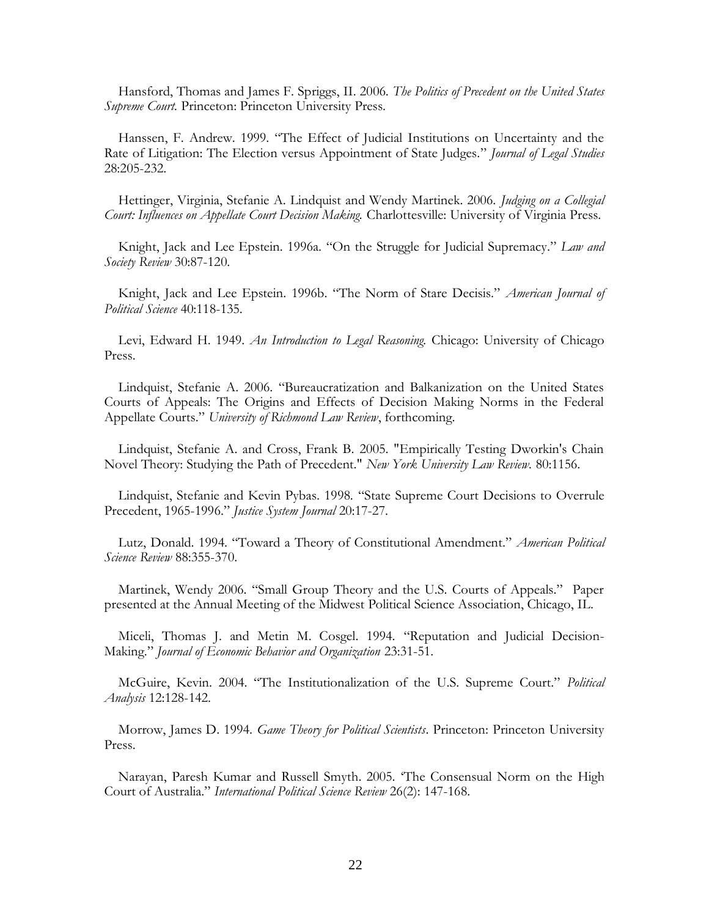Hansford, Thomas and James F. Spriggs, II. 2006. *The Politics of Precedent on the United States Supreme Court.* Princeton: Princeton University Press.

Hanssen, F. Andrew. 1999. "The Effect of Judicial Institutions on Uncertainty and the Rate of Litigation: The Election versus Appointment of State Judges." *Journal of Legal Studies* 28:205-232.

Hettinger, Virginia, Stefanie A. Lindquist and Wendy Martinek. 2006. *Judging on a Collegial Court: Influences on Appellate Court Decision Making.* Charlottesville: University of Virginia Press.

Knight, Jack and Lee Epstein. 1996a. "On the Struggle for Judicial Supremacy." *Law and Society Review* 30:87-120.

Knight, Jack and Lee Epstein. 1996b. "The Norm of Stare Decisis." *American Journal of Political Science* 40:118-135.

Levi, Edward H. 1949. *An Introduction to Legal Reasoning.* Chicago: University of Chicago Press.

Lindquist, Stefanie A. 2006. "Bureaucratization and Balkanization on the United States Courts of Appeals: The Origins and Effects of Decision Making Norms in the Federal Appellate Courts." *University of Richmond Law Review*, forthcoming.

Lindquist, Stefanie A. and Cross, Frank B. 2005. "Empirically Testing Dworkin's Chain Novel Theory: Studying the Path of Precedent." *New York University Law Review.* 80:1156.

Lindquist, Stefanie and Kevin Pybas. 1998. "State Supreme Court Decisions to Overrule Precedent, 1965-1996." *Justice System Journal* 20:17-27.

Lutz, Donald. 1994. "Toward a Theory of Constitutional Amendment." *American Political Science Review* 88:355-370.

Martinek, Wendy 2006. "Small Group Theory and the U.S. Courts of Appeals." Paper presented at the Annual Meeting of the Midwest Political Science Association, Chicago, IL.

Miceli, Thomas J. and Metin M. Cosgel. 1994. "Reputation and Judicial Decision-Making." *Journal of Economic Behavior and Organization* 23:31-51.

McGuire, Kevin. 2004. "The Institutionalization of the U.S. Supreme Court." *Political Analysis* 12:128-142.

Morrow, James D. 1994. *Game Theory for Political Scientists*. Princeton: Princeton University Press.

Narayan, Paresh Kumar and Russell Smyth. 2005. "The Consensual Norm on the High Court of Australia." *International Political Science Review* 26(2): 147-168.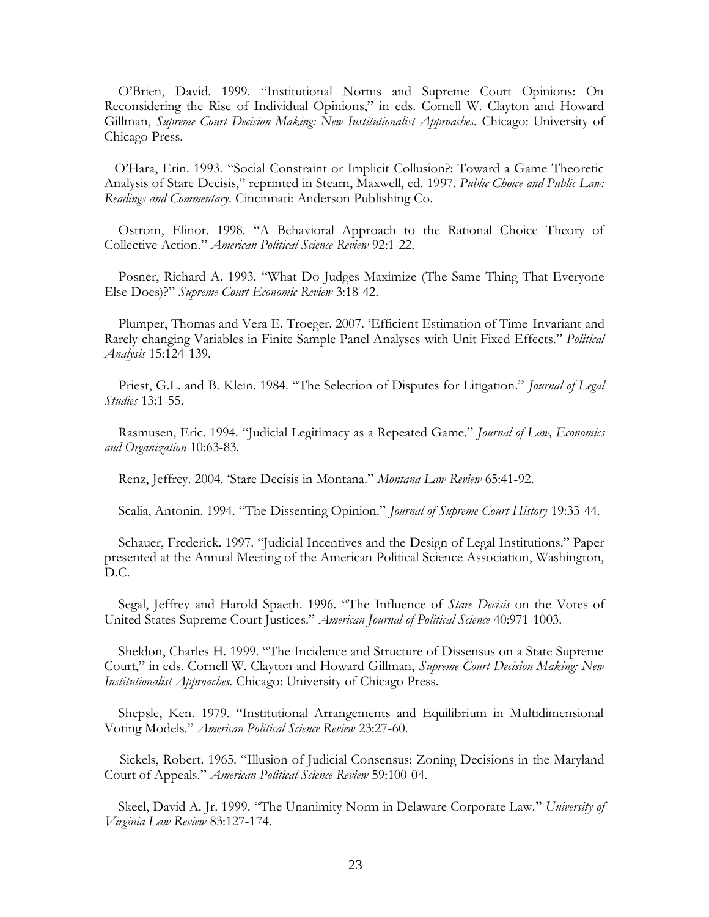O"Brien, David. 1999. "Institutional Norms and Supreme Court Opinions: On Reconsidering the Rise of Individual Opinions," in eds. Cornell W. Clayton and Howard Gillman, *Supreme Court Decision Making: New Institutionalist Approaches.* Chicago: University of Chicago Press.

 O"Hara, Erin. 1993. "Social Constraint or Implicit Collusion?: Toward a Game Theoretic Analysis of Stare Decisis," reprinted in Stearn, Maxwell, ed. 1997. *Public Choice and Public Law: Readings and Commentary*. Cincinnati: Anderson Publishing Co.

Ostrom, Elinor. 1998. "A Behavioral Approach to the Rational Choice Theory of Collective Action." *American Political Science Review* 92:1-22.

Posner, Richard A. 1993. "What Do Judges Maximize (The Same Thing That Everyone Else Does)?" *Supreme Court Economic Review* 3:18-42.

Plumper, Thomas and Vera E. Troeger. 2007. "Efficient Estimation of Time-Invariant and Rarely changing Variables in Finite Sample Panel Analyses with Unit Fixed Effects." *Political Analysis* 15:124-139.

Priest, G.L. and B. Klein. 1984. "The Selection of Disputes for Litigation." *Journal of Legal Studies* 13:1-55.

Rasmusen, Eric. 1994. "Judicial Legitimacy as a Repeated Game." *Journal of Law, Economics and Organization* 10:63-83.

Renz, Jeffrey. 2004. "Stare Decisis in Montana." *Montana Law Review* 65:41-92.

Scalia, Antonin. 1994. "The Dissenting Opinion." *Journal of Supreme Court History* 19:33-44.

Schauer, Frederick. 1997. "Judicial Incentives and the Design of Legal Institutions." Paper presented at the Annual Meeting of the American Political Science Association, Washington, D.C.

Segal, Jeffrey and Harold Spaeth. 1996. "The Influence of *Stare Decisis* on the Votes of United States Supreme Court Justices." *American Journal of Political Science* 40:971-1003.

Sheldon, Charles H. 1999. "The Incidence and Structure of Dissensus on a State Supreme Court," in eds. Cornell W. Clayton and Howard Gillman, *Supreme Court Decision Making: New Institutionalist Approaches.* Chicago: University of Chicago Press.

Shepsle, Ken. 1979. "Institutional Arrangements and Equilibrium in Multidimensional Voting Models." *American Political Science Review* 23:27-60.

Sickels, Robert. 1965. "Illusion of Judicial Consensus: Zoning Decisions in the Maryland Court of Appeals." *American Political Science Review* 59:100-04.

Skeel, David A. Jr. 1999. "The Unanimity Norm in Delaware Corporate Law." *University of Virginia Law Review* 83:127-174.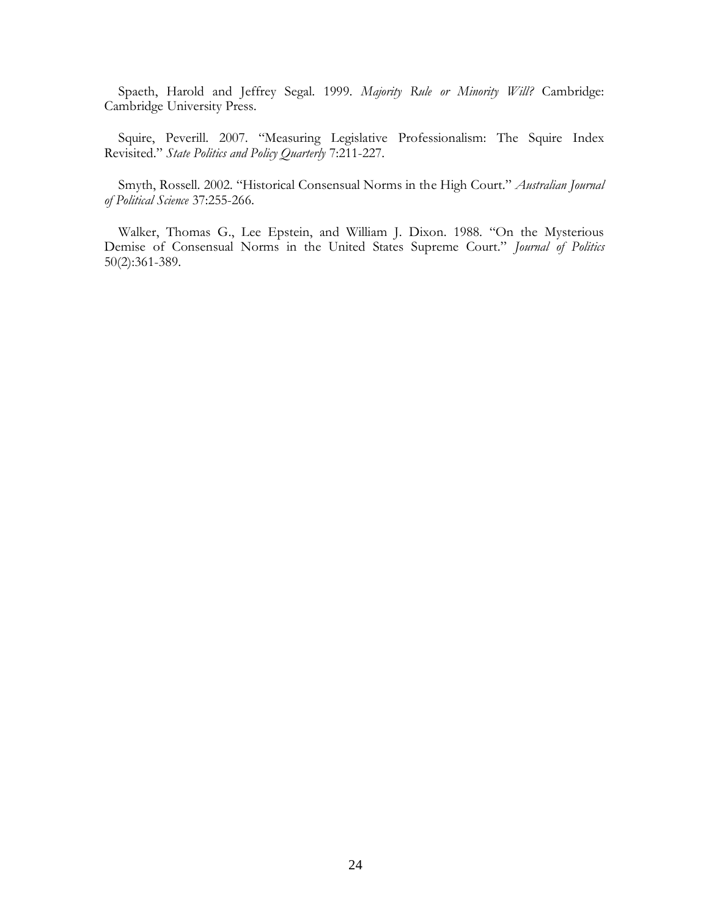Spaeth, Harold and Jeffrey Segal. 1999. *Majority Rule or Minority Will?* Cambridge: Cambridge University Press.

Squire, Peverill. 2007. "Measuring Legislative Professionalism: The Squire Index Revisited." *State Politics and Policy Quarterly* 7:211-227.

Smyth, Rossell. 2002. "Historical Consensual Norms in the High Court." *Australian Journal of Political Science* 37:255-266.

Walker, Thomas G., Lee Epstein, and William J. Dixon. 1988. "On the Mysterious Demise of Consensual Norms in the United States Supreme Court." *Journal of Politics*  50(2):361-389.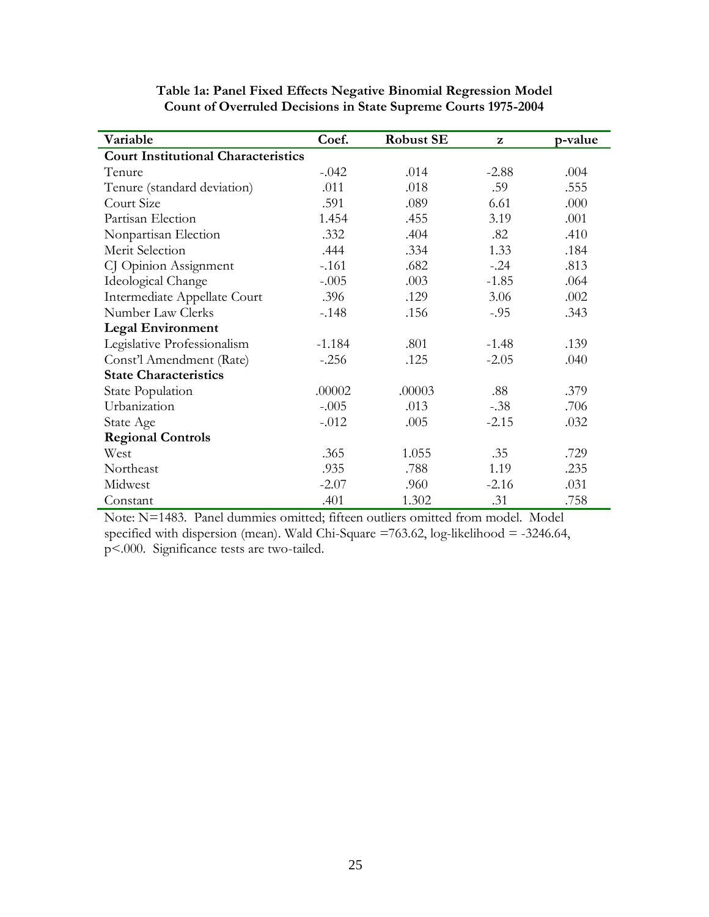| Variable                                   | Coef.    | <b>Robust SE</b> | z       | p-value |
|--------------------------------------------|----------|------------------|---------|---------|
| <b>Court Institutional Characteristics</b> |          |                  |         |         |
| Tenure                                     | $-.042$  | .014             | $-2.88$ | .004    |
| Tenure (standard deviation)                | .011     | .018             | .59     | .555    |
| Court Size                                 | .591     | .089             | 6.61    | .000    |
| Partisan Election                          | 1.454    | .455             | 3.19    | .001    |
| Nonpartisan Election                       | .332     | .404             | .82     | .410    |
| Merit Selection                            | .444     | .334             | 1.33    | .184    |
| CJ Opinion Assignment                      | $-.161$  | .682             | $-.24$  | .813    |
| Ideological Change                         | $-.005$  | .003             | $-1.85$ | .064    |
| Intermediate Appellate Court               | .396     | .129             | 3.06    | .002    |
| Number Law Clerks                          | $-.148$  | .156             | $-.95$  | .343    |
| <b>Legal Environment</b>                   |          |                  |         |         |
| Legislative Professionalism                | $-1.184$ | .801             | $-1.48$ | .139    |
| Const'l Amendment (Rate)                   | $-.256$  | .125             | $-2.05$ | .040    |
| <b>State Characteristics</b>               |          |                  |         |         |
| <b>State Population</b>                    | .00002   | .00003           | .88     | .379    |
| Urbanization                               | $-.005$  | .013             | $-.38$  | .706    |
| State Age                                  | $-.012$  | .005             | $-2.15$ | .032    |
| <b>Regional Controls</b>                   |          |                  |         |         |
| West                                       | .365     | 1.055            | .35     | .729    |
| Northeast                                  | .935     | .788             | 1.19    | .235    |
| Midwest                                    | $-2.07$  | .960             | $-2.16$ | .031    |
| Constant                                   | .401     | 1.302            | .31     | .758    |

**Table 1a: Panel Fixed Effects Negative Binomial Regression Model Count of Overruled Decisions in State Supreme Courts 1975-2004**

Note: N=1483. Panel dummies omitted; fifteen outliers omitted from model. Model specified with dispersion (mean). Wald Chi-Square =763.62, log-likelihood = -3246.64, p<.000. Significance tests are two-tailed.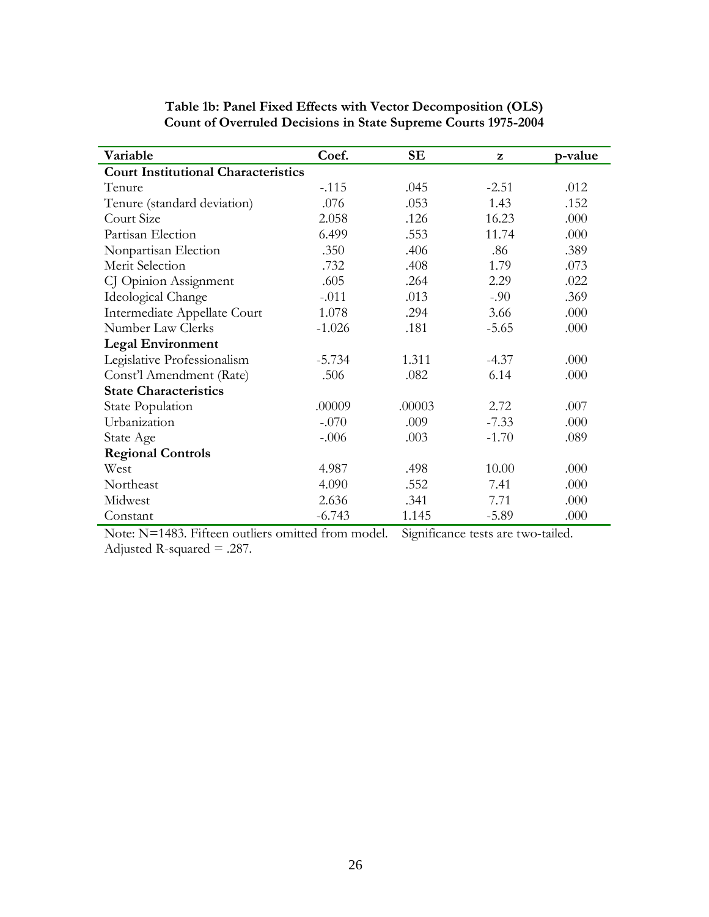| Variable                                   | Coef.    | <b>SE</b> | $\mathbf{z}$ | p-value |
|--------------------------------------------|----------|-----------|--------------|---------|
| <b>Court Institutional Characteristics</b> |          |           |              |         |
| Tenure                                     | $-.115$  | .045      | $-2.51$      | .012    |
| Tenure (standard deviation)                | .076     | .053      | 1.43         | .152    |
| Court Size                                 | 2.058    | .126      | 16.23        | .000    |
| Partisan Election                          | 6.499    | .553      | 11.74        | .000    |
| Nonpartisan Election                       | .350     | .406      | .86          | .389    |
| Merit Selection                            | .732     | .408      | 1.79         | .073    |
| CJ Opinion Assignment                      | .605     | .264      | 2.29         | .022    |
| Ideological Change                         | $-.011$  | .013      | $-.90$       | .369    |
| Intermediate Appellate Court               | 1.078    | .294      | 3.66         | .000    |
| Number Law Clerks                          | $-1.026$ | .181      | $-5.65$      | .000    |
| <b>Legal Environment</b>                   |          |           |              |         |
| Legislative Professionalism                | $-5.734$ | 1.311     | $-4.37$      | .000    |
| Const'l Amendment (Rate)                   | .506     | .082      | 6.14         | .000    |
| <b>State Characteristics</b>               |          |           |              |         |
| <b>State Population</b>                    | .00009   | .00003    | 2.72         | .007    |
| Urbanization                               | $-.070$  | .009      | $-7.33$      | .000    |
| State Age                                  | $-.006$  | .003      | $-1.70$      | .089    |
| <b>Regional Controls</b>                   |          |           |              |         |
| West                                       | 4.987    | .498      | 10.00        | .000    |
| Northeast                                  | 4.090    | .552      | 7.41         | .000    |
| Midwest                                    | 2.636    | .341      | 7.71         | .000    |
| Constant                                   | $-6.743$ | 1.145     | $-5.89$      | .000    |

**Table 1b: Panel Fixed Effects with Vector Decomposition (OLS) Count of Overruled Decisions in State Supreme Courts 1975-2004**

Note: N=1483. Fifteen outliers omitted from model. Significance tests are two-tailed. Adjusted R-squared = .287.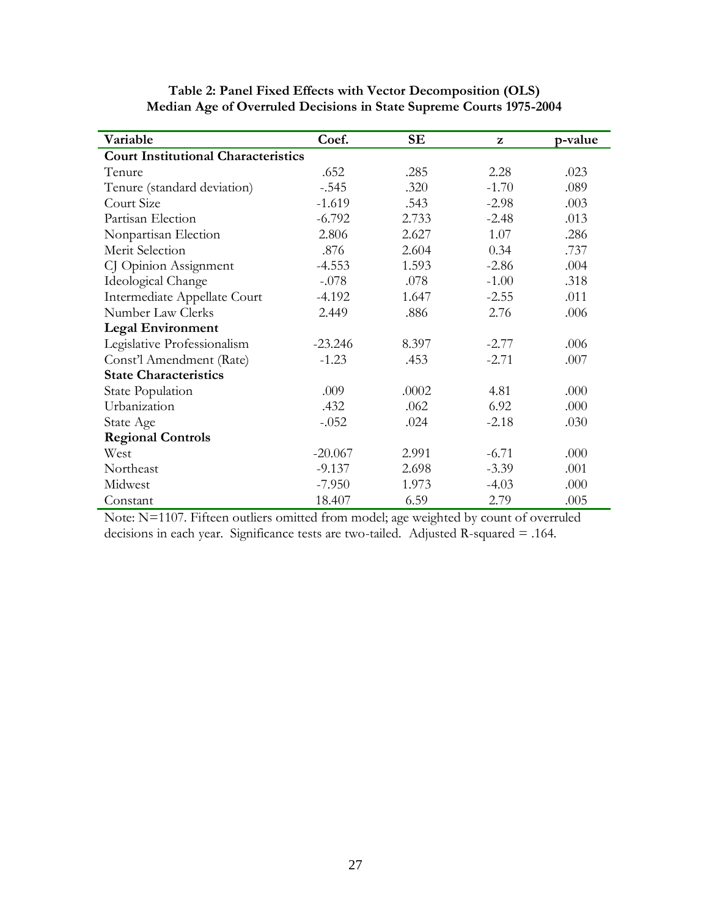| Variable                                   | Coef.     | <b>SE</b> | $\mathbf{z}$ | p-value |
|--------------------------------------------|-----------|-----------|--------------|---------|
| <b>Court Institutional Characteristics</b> |           |           |              |         |
| Tenure                                     | .652      | .285      | 2.28         | .023    |
| Tenure (standard deviation)                | $-.545$   | .320      | $-1.70$      | .089    |
| Court Size                                 | $-1.619$  | .543      | $-2.98$      | .003    |
| Partisan Election                          | $-6.792$  | 2.733     | $-2.48$      | .013    |
| Nonpartisan Election                       | 2.806     | 2.627     | 1.07         | .286    |
| Merit Selection                            | .876      | 2.604     | 0.34         | .737    |
| CJ Opinion Assignment                      | $-4.553$  | 1.593     | $-2.86$      | .004    |
| Ideological Change                         | $-.078$   | .078      | $-1.00$      | .318    |
| Intermediate Appellate Court               | $-4.192$  | 1.647     | $-2.55$      | .011    |
| Number Law Clerks                          | 2.449     | .886      | 2.76         | .006    |
| <b>Legal Environment</b>                   |           |           |              |         |
| Legislative Professionalism                | $-23.246$ | 8.397     | $-2.77$      | .006    |
| Const'l Amendment (Rate)                   | $-1.23$   | .453      | $-2.71$      | .007    |
| <b>State Characteristics</b>               |           |           |              |         |
| State Population                           | .009      | .0002     | 4.81         | .000    |
| Urbanization                               | .432      | .062      | 6.92         | .000    |
| State Age                                  | $-.052$   | .024      | $-2.18$      | .030    |
| <b>Regional Controls</b>                   |           |           |              |         |
| West                                       | $-20.067$ | 2.991     | $-6.71$      | .000    |
| Northeast                                  | $-9.137$  | 2.698     | $-3.39$      | .001    |
| Midwest                                    | $-7.950$  | 1.973     | $-4.03$      | .000    |
| Constant                                   | 18.407    | 6.59      | 2.79         | .005    |

**Table 2: Panel Fixed Effects with Vector Decomposition (OLS) Median Age of Overruled Decisions in State Supreme Courts 1975-2004**

Note: N=1107. Fifteen outliers omitted from model; age weighted by count of overruled decisions in each year. Significance tests are two-tailed. Adjusted R-squared = .164.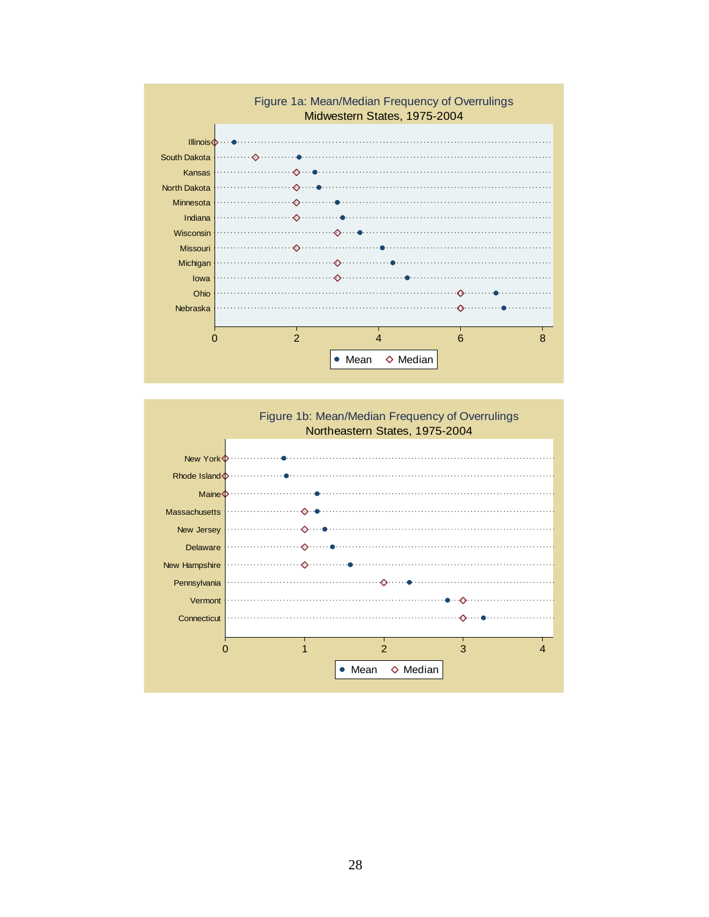

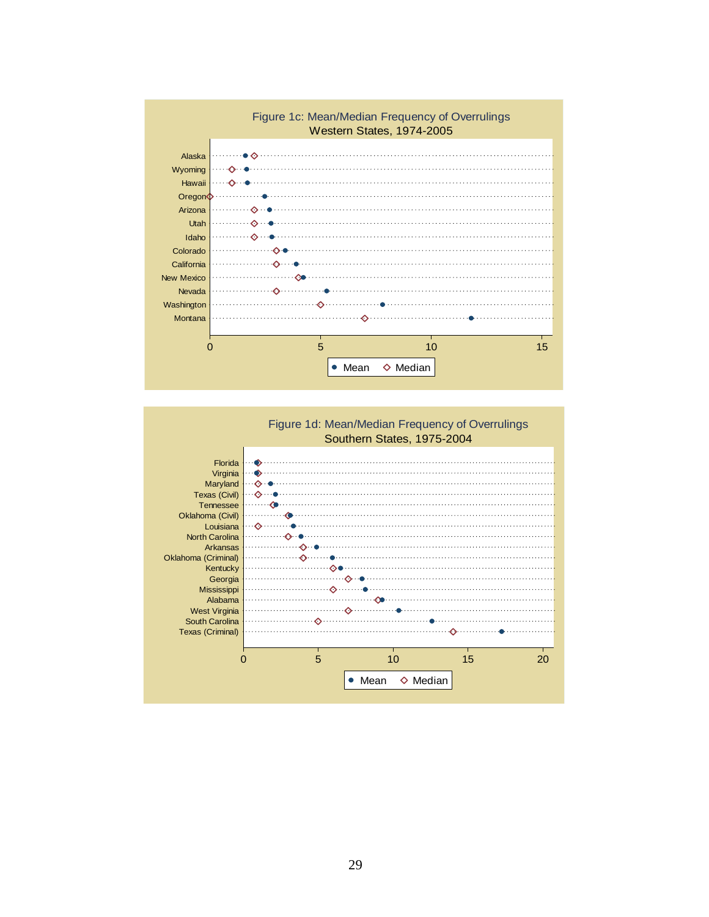

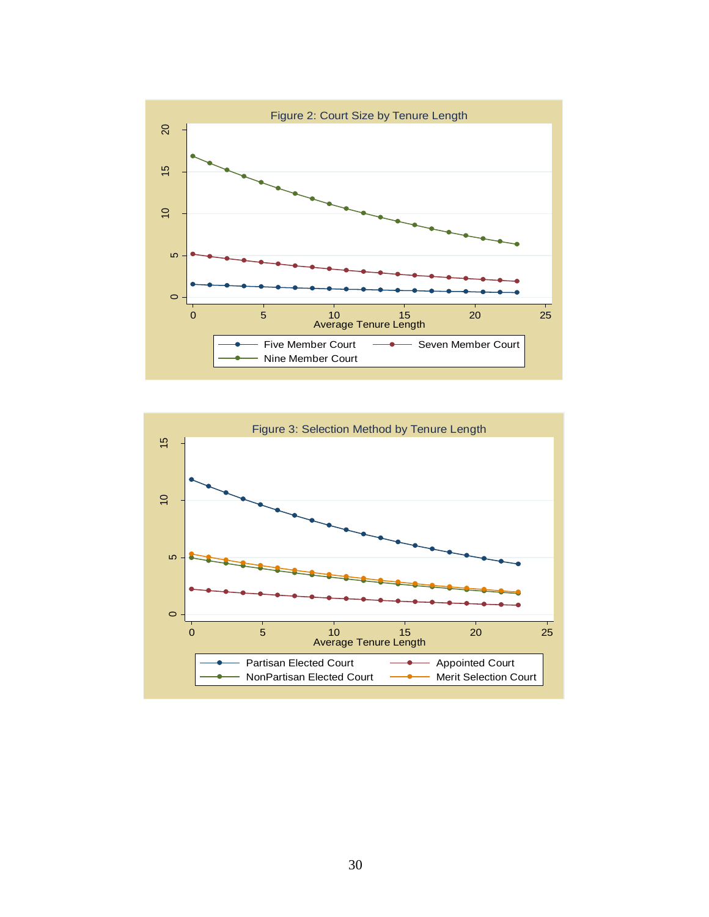